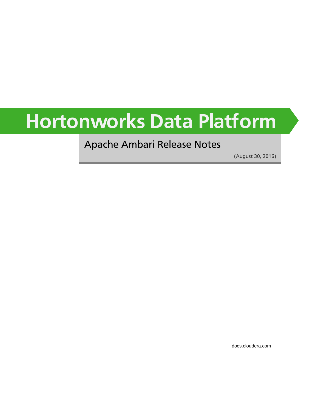# **Hortonworks Data Platform**

### Apache Ambari Release Notes

(August 30, 2016)

[docs.cloudera.com](http://docs.cloudera.com)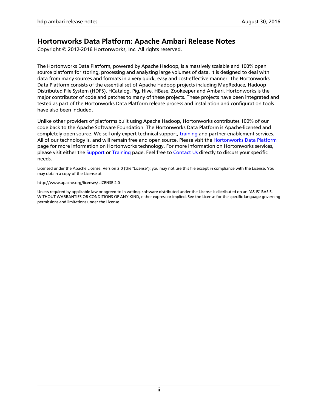#### **Hortonworks Data Platform: Apache Ambari Release Notes**

Copyright © 2012-2016 Hortonworks, Inc. All rights reserved.

The Hortonworks Data Platform, powered by Apache Hadoop, is a massively scalable and 100% open source platform for storing, processing and analyzing large volumes of data. It is designed to deal with data from many sources and formats in a very quick, easy and cost-effective manner. The Hortonworks Data Platform consists of the essential set of Apache Hadoop projects including MapReduce, Hadoop Distributed File System (HDFS), HCatalog, Pig, Hive, HBase, Zookeeper and Ambari. Hortonworks is the major contributor of code and patches to many of these projects. These projects have been integrated and tested as part of the Hortonworks Data Platform release process and installation and configuration tools have also been included.

Unlike other providers of platforms built using Apache Hadoop, Hortonworks contributes 100% of our code back to the Apache Software Foundation. The Hortonworks Data Platform is Apache-licensed and completely open source. We sell only expert technical support, [training](http://hortonworks.com/training/) and partner-enablement services. All of our technology is, and will remain free and open source. Please visit the [Hortonworks Data Platform](http://hortonworks.com/technology/hortonworksdataplatform) page for more information on Hortonworks technology. For more information on Hortonworks services, please visit either the [Support](http://hortonworks.com/support) or [Training](http://hortonworks.com/training/) page. Feel free to [Contact Us](http://hortonworks.com/about-us/contact-us/) directly to discuss your specific needs.

Licensed under the Apache License, Version 2.0 (the "License"); you may not use this file except in compliance with the License. You may obtain a copy of the License at

#### <http://www.apache.org/licenses/LICENSE-2.0>

Unless required by applicable law or agreed to in writing, software distributed under the License is distributed on an "AS IS" BASIS, WITHOUT WARRANTIES OR CONDITIONS OF ANY KIND, either express or implied. See the License for the specific language governing permissions and limitations under the License.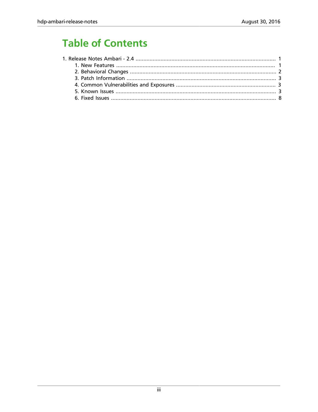# **Table of Contents**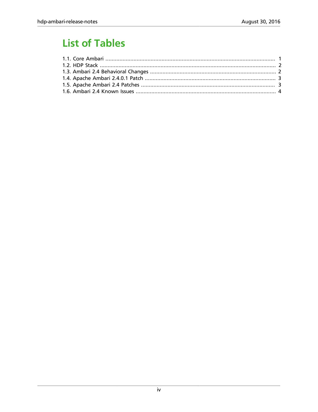# **List of Tables**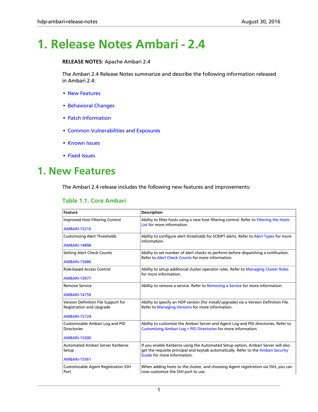# <span id="page-4-0"></span>**1. Release Notes Ambari - 2.4**

#### **RELEASE NOTES:** Apache Ambari 2.4

The Ambari 2.4 Release Notes summarize and describe the following information released in Ambari 2.4:

- [New Features](ambari_relnotes-2.4.0.1-new-features.html)
- [Behavioral Changes](ambari_relnotes-2.4.0.1-behavioral-changes.html)
- [Patch Information](ambari_relnotes-2.4.0.1-patch-information.html)
- [Common Vulnerabilities and Exposures](#page-6-1)
- [Known Issues](ambari_relnotes-2.4.0.1-known-issues.html)
- [Fixed Issues](ambari_relnotes-2.4.0.1-fixed-issues.html)

### <span id="page-4-2"></span><span id="page-4-1"></span>**1. New Features**

The Ambari 2.4 release includes the following new features and improvements:

#### **Table 1.1. Core Ambari**

| <b>Feature</b>                                                         | <b>Description</b>                                                                                                                                   |  |
|------------------------------------------------------------------------|------------------------------------------------------------------------------------------------------------------------------------------------------|--|
| Improved Host Filtering Control                                        | Ability to filter hosts using a new host filtering control. Refer to Filtering the Hosts<br>List for more information.                               |  |
| <b>AMBARI-15210</b>                                                    |                                                                                                                                                      |  |
| <b>Customizing Alert Thresholds</b>                                    | Ability to configure alert thresholds for SCRIPT alerts. Refer to Alert Types for more<br>information.                                               |  |
| <b>AMBARI-14898</b>                                                    |                                                                                                                                                      |  |
| <b>Setting Alert Check Counts</b>                                      | Ability to set number of alert checks to perform before dispatching a notification.<br>Refer to Alert Check Counts for more information.             |  |
| <b>AMBARI-15686</b>                                                    |                                                                                                                                                      |  |
| Role-based Access Control                                              | Ability to setup additional cluster operator roles. Refer to Managing Cluster Roles<br>for more information.                                         |  |
| <b>AMBARI-13977</b>                                                    |                                                                                                                                                      |  |
| <b>Remove Service</b>                                                  | Ability to remove a service. Refer to Removing a Service for more information.                                                                       |  |
| <b>AMBARI-14759</b>                                                    |                                                                                                                                                      |  |
| Version Definition File Support for<br><b>Registration and Upgrade</b> | Ability to specify an HDP version (for install/upgrade) via a Version Definition File.<br>Refer to Managing Versions for more information.           |  |
| <b>AMBARI-15724</b>                                                    |                                                                                                                                                      |  |
| Customizable Ambari Log and PID<br><b>Directories</b>                  | Ability to customize the Ambari Server and Agent Log and PID directories. Refer to<br>Customizing Ambari Log + PID Directories for more information. |  |
| <b>AMBARI-15300</b>                                                    |                                                                                                                                                      |  |
| <b>Automated Ambari Server Kerberos</b>                                | If you enable Kerberos using the Automated Setup option, Ambari Server will also                                                                     |  |
| Setup                                                                  | get the requisite principal and keytab automatically. Refer to the Ambari Security<br>Guide for more information.                                    |  |
| <b>AMBARI-15561</b>                                                    |                                                                                                                                                      |  |
| <b>Customizable Agent Registration SSH</b><br>Port                     | When adding hosts to the cluster, and choosing Agent registration via SSH, you can<br>now customize the SSH port to use.                             |  |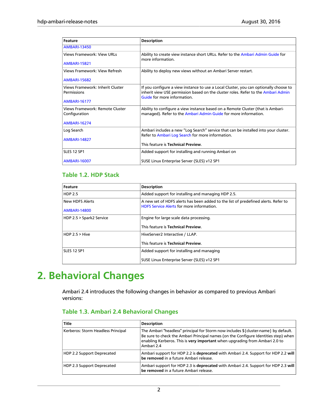| <b>Feature</b>                                   | <b>Description</b>                                                                                                                                                                                        |  |
|--------------------------------------------------|-----------------------------------------------------------------------------------------------------------------------------------------------------------------------------------------------------------|--|
| <b>AMBARI-13450</b>                              |                                                                                                                                                                                                           |  |
| <b>Views Framework: View URLs</b>                | Ability to create view instance short URLs. Refer to the Ambari Admin Guide for<br>more information.                                                                                                      |  |
| <b>AMBARI-15821</b>                              |                                                                                                                                                                                                           |  |
| <b>Views Framework: View Refresh</b>             | Ability to deploy new views without an Ambari Server restart.                                                                                                                                             |  |
| <b>AMBARI-15682</b>                              |                                                                                                                                                                                                           |  |
| Views Framework: Inherit Cluster<br>Permissions  | If you configure a view instance to use a Local Cluster, you can optionally choose to<br>inherit view USE permission based on the cluster roles. Refer to the Ambari Admin<br>Guide for more information. |  |
| <b>AMBARI-16177</b>                              |                                                                                                                                                                                                           |  |
| Views Framework: Remote Cluster<br>Configuration | Ability to configure a view instance based on a Remote Cluster (that is Ambari-<br>managed). Refer to the Ambari Admin Guide for more information.                                                        |  |
| <b>AMBARI-16274</b>                              |                                                                                                                                                                                                           |  |
| Log Search                                       | Ambari includes a new "Log Search" service that can be installed into your cluster.<br>Refer to Ambari Log Search for more information.                                                                   |  |
| <b>AMBARI-14827</b>                              |                                                                                                                                                                                                           |  |
|                                                  | This feature is Technical Preview.                                                                                                                                                                        |  |
| <b>SLES 12 SP1</b>                               | Added support for installing and running Ambari on                                                                                                                                                        |  |
| <b>AMBARI-16007</b>                              | SUSE Linux Enterprise Server (SLES) v12 SP1                                                                                                                                                               |  |

#### <span id="page-5-1"></span>**Table 1.2. HDP Stack**

| Feature                  | <b>Description</b>                                                                                                                     |  |
|--------------------------|----------------------------------------------------------------------------------------------------------------------------------------|--|
| <b>HDP 2.5</b>           | Added support for installing and managing HDP 2.5.                                                                                     |  |
| <b>New HDFS Alerts</b>   | A new set of HDFS alerts has been added to the list of predefined alerts. Refer to<br><b>HDFS Service Alerts for more information.</b> |  |
| <b>AMBARI-14800</b>      |                                                                                                                                        |  |
| HDP 2.5 > Spark2 Service | Engine for large scale data processing.                                                                                                |  |
|                          | This feature is Technical Preview.                                                                                                     |  |
| HDP 2.5 > Hive           | HiveServer2 Interactive / LLAP.                                                                                                        |  |
|                          | This feature is Technical Preview.                                                                                                     |  |
| SLES 12 SP1              | Added support for installing and managing                                                                                              |  |
|                          | SUSE Linux Enterprise Server (SLES) v12 SP1                                                                                            |  |

### <span id="page-5-0"></span>**2. Behavioral Changes**

Ambari 2.4 introduces the following changes in behavior as compared to previous Ambari versions:

#### <span id="page-5-2"></span>**Table 1.3. Ambari 2.4 Behavioral Changes**

| <b>Title</b>                       | <b>Description</b>                                                                                                                                                                                                                                                      |
|------------------------------------|-------------------------------------------------------------------------------------------------------------------------------------------------------------------------------------------------------------------------------------------------------------------------|
| Kerberos: Storm Headless Principal | The Ambari "headless" principal for Storm now includes \${cluster-name} by default.<br>Be sure to check the Ambari Principal names (on the Configure Identities step) when<br>enabling Kerberos. This is very important when upgrading from Ambari 2.0 to<br>Ambari 2.4 |
| HDP 2.2 Support Deprecated         | Ambari support for HDP 2.2 is deprecated with Ambari 2.4. Support for HDP 2.2 will<br>be removed in a future Ambari release.                                                                                                                                            |
| HDP 2.3 Support Deprecated         | Ambari support for HDP 2.3 is deprecated with Ambari 2.4. Support for HDP 2.3 will<br>be removed in a future Ambari release.                                                                                                                                            |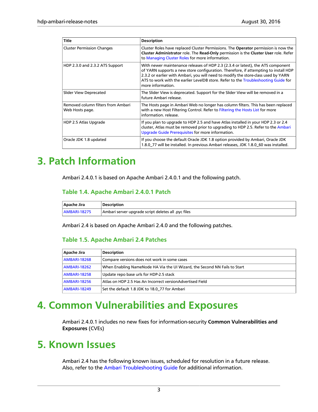| <b>Title</b>                                          | <b>Description</b>                                                                                                                                                                                                                                                                                                                                                      |  |
|-------------------------------------------------------|-------------------------------------------------------------------------------------------------------------------------------------------------------------------------------------------------------------------------------------------------------------------------------------------------------------------------------------------------------------------------|--|
| <b>Cluster Permission Changes</b>                     | Cluster Roles have replaced Cluster Permissions. The Operator permission is now the<br>Cluster Administrator role. The Read-Only permission is the Cluster User role. Refer<br>to Managing Cluster Roles for more information.                                                                                                                                          |  |
| HDP 2.3.0 and 2.3.2 ATS Support                       | With newer maintenance releases of HDP 2.3 (2.3.4 or latest), the ATS component<br>of YARN supports a new store configuration. Therefore, if attempting to install HDP<br>2.3.2 or earlier with Ambari, you will need to modify the store-class used by YARN<br>ATS to work with the earlier LevelDB store. Refer to the Troubleshooting Guide for<br>more information. |  |
| Slider View Deprecated                                | The Slider View is deprecated. Support for the Slider View will be removed in a<br>future Ambari release.                                                                                                                                                                                                                                                               |  |
| Removed column filters from Ambari<br>Web Hosts page. | The Hosts page in Ambari Web no longer has column filters. This has been replaced<br>with a new Host Filtering Control. Refer to Filtering the Hosts List for more<br>information, release.                                                                                                                                                                             |  |
| HDP 2.5 Atlas Upgrade                                 | If you plan to upgrade to HDP 2.5 and have Atlas installed in your HDP 2.3 or 2.4<br>cluster, Atlas must be removed prior to upgrading to HDP 2.5. Refer to the Ambari<br>Upgrade Guide Prerequisites for more information.                                                                                                                                             |  |
| Oracle JDK 1.8 updated                                | If you choose the default Oracle JDK 1.8 option provided by Ambari, Oracle JDK<br>1.8.0 77 will be installed. In previous Ambari releases, JDK 1.8.0 60 was installed.                                                                                                                                                                                                  |  |

### <span id="page-6-0"></span>**3. Patch Information**

Ambari 2.4.0.1 is based on Apache Ambari 2.4.0.1 and the following patch.

#### <span id="page-6-3"></span>**Table 1.4. Apache Ambari 2.4.0.1 Patch**

| Apache Jira         | Description                                         |
|---------------------|-----------------------------------------------------|
| <b>AMBARI-18275</b> | Ambari server upgrade script deletes all .pyc files |

<span id="page-6-4"></span>Ambari 2.4 is based on Apache Ambari 2.4.0 and the following patches.

#### **Table 1.5. Apache Ambari 2.4 Patches**

| Apache Jira         | <b>Description</b>                                                        |
|---------------------|---------------------------------------------------------------------------|
| <b>AMBARI-18268</b> | Compare versions does not work in some cases                              |
| AMBARI-18262        | When Enabling NameNode HA Via the UI Wizard, the Second NN Fails to Start |
| <b>AMBARI-18258</b> | Update repo base urls for HDP-2.5 stack                                   |
| <b>AMBARI-18256</b> | Atlas on HDP 2.5 Has An Incorrect versionAdvertised Field                 |
| <b>AMBARI-18249</b> | Set the default 1.8 JDK to 18.0 77 for Ambari                             |

### <span id="page-6-1"></span>**4. Common Vulnerabilities and Exposures**

Ambari 2.4.0.1 includes no new fixes for information-security **Common Vulnerabilities and Exposures** (CVEs)

### <span id="page-6-2"></span>**5. Known Issues**

Ambari 2.4 has the following known issues, scheduled for resolution in a future release. Also, refer to the [Ambari Troubleshooting Guide](http://docs.hortonworks.com/HDPDocuments/Ambari-2.4.0.1/bk_ambari-troubleshooting/content/ch_ambari_troubleshooting.html) for additional information.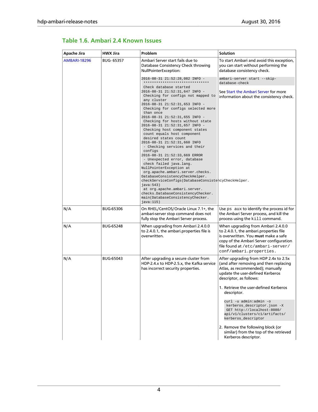| Apache Jira         | <b>HWX Jira</b>  | Problem                                                                                                                                                                                                                                                                                                                                                                                                                                                                                                                                                                                                                                                                                                                                                                                                                                                     | <b>Solution</b>                                                                                                                                                                                                                                                      |
|---------------------|------------------|-------------------------------------------------------------------------------------------------------------------------------------------------------------------------------------------------------------------------------------------------------------------------------------------------------------------------------------------------------------------------------------------------------------------------------------------------------------------------------------------------------------------------------------------------------------------------------------------------------------------------------------------------------------------------------------------------------------------------------------------------------------------------------------------------------------------------------------------------------------|----------------------------------------------------------------------------------------------------------------------------------------------------------------------------------------------------------------------------------------------------------------------|
| <b>AMBARI-18296</b> | <b>BUG-65357</b> | Ambari Server start fails due to<br>Database Consistency Check throwing<br>NullPointerException:                                                                                                                                                                                                                                                                                                                                                                                                                                                                                                                                                                                                                                                                                                                                                            | To start Ambari and avoid this exception,<br>you can start without performing the<br>database consistency check.                                                                                                                                                     |
|                     |                  | 2016-08-31 21:52:28,082 INFO -<br>*******************************                                                                                                                                                                                                                                                                                                                                                                                                                                                                                                                                                                                                                                                                                                                                                                                           | ambari-server start --skip-<br>database-check                                                                                                                                                                                                                        |
|                     |                  | Check database started<br>2016-08-31 21:52:31,647 INFO -<br>Checking for configs not mapped to<br>any cluster<br>2016-08-31 21:52:31,653 INFO -<br>Checking for configs selected more<br>than once<br>2016-08-31 21:52:31,655 INFO -<br>Checking for hosts without state<br>2016-08-31 21:52:31,657 INFO -<br>Checking host component states<br>count equals host component<br>desired states count<br>2016-08-31 21:52:31,660 INFO<br>- Checking services and their<br>configs<br>2016-08-31 21:52:33,669 ERROR<br>- Unexpected error, database<br>check failed java.lang.<br>NullPointerException at<br>org.apache.ambari.server.checks.<br>DatabaseConsistencyCheckHelper.<br>checkServiceConfigs(DatabaseConsistencyCheckHelper.<br>java:543)<br>at org.apache.ambari.server.<br>checks.DatabaseConsistencyChecker.<br>main(DatabaseConsistencyChecker. | See Start the Ambari Server for more<br>information about the consistency check.                                                                                                                                                                                     |
| N/A                 | <b>BUG-65306</b> | java:115)<br>On RHEL/CentOS/Oracle Linux 7.1+, the<br>ambari-server stop command does not<br>fully stop the Ambari Server process.                                                                                                                                                                                                                                                                                                                                                                                                                                                                                                                                                                                                                                                                                                                          | Use ps aux to identify the process id for<br>the Ambari Server process, and kill the<br>process using the kill command.                                                                                                                                              |
| N/A                 | <b>BUG-65248</b> | When upgrading from Ambari 2.4.0.0<br>to 2.4.0.1, the ambari properties file is<br>overwritten.                                                                                                                                                                                                                                                                                                                                                                                                                                                                                                                                                                                                                                                                                                                                                             | When upgrading from Ambari 2.4.0.0<br>to 2.4.0.1, the ambari properties file<br>is overwritten. You must make a safe<br>copy of the Ambari Server configuration<br>file found at /etc/ambari-server/<br>conf/ambari.properties.                                      |
| N/A                 | <b>BUG-65043</b> | After upgrading a secure cluster from<br>HDP-2.4.x to HDP-2.5.x, the Kafka service<br>has incorrect security properties.                                                                                                                                                                                                                                                                                                                                                                                                                                                                                                                                                                                                                                                                                                                                    | After upgrading from HDP 2.4x to 2.5x<br>(and after removing and then replacing<br>Atlas, as recommended); manually<br>update the user-defined Kerberos<br>descriptor, as follows:<br>1. Retrieve the user-defined Kerberos<br>descriptor.<br>curl -u admin:admin -o |
|                     |                  |                                                                                                                                                                                                                                                                                                                                                                                                                                                                                                                                                                                                                                                                                                                                                                                                                                                             | kerberos_descriptor.json -X<br>GET http://localhost:8080/<br>api/v1/clusters/c1/artifacts/<br>kerberos_descriptor                                                                                                                                                    |
|                     |                  |                                                                                                                                                                                                                                                                                                                                                                                                                                                                                                                                                                                                                                                                                                                                                                                                                                                             | 2. Remove the following block (or<br>similar) from the top of the retrieved<br>Kerberos descriptor.                                                                                                                                                                  |

#### <span id="page-7-0"></span>**Table 1.6. Ambari 2.4 Known Issues**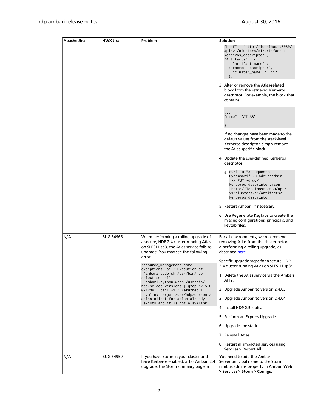| Apache Jira | <b>HWX Jira</b>  | Problem                                                                                                                                                                                                                                                                                                                                                                                                                                                                                                               | Solution                                                                                                                                                                                                                                                                                                                                                                                                                                                                                                                                                                                                                                                                                                                                                                                                                                                                                                          |
|-------------|------------------|-----------------------------------------------------------------------------------------------------------------------------------------------------------------------------------------------------------------------------------------------------------------------------------------------------------------------------------------------------------------------------------------------------------------------------------------------------------------------------------------------------------------------|-------------------------------------------------------------------------------------------------------------------------------------------------------------------------------------------------------------------------------------------------------------------------------------------------------------------------------------------------------------------------------------------------------------------------------------------------------------------------------------------------------------------------------------------------------------------------------------------------------------------------------------------------------------------------------------------------------------------------------------------------------------------------------------------------------------------------------------------------------------------------------------------------------------------|
|             |                  |                                                                                                                                                                                                                                                                                                                                                                                                                                                                                                                       | "href": "http://localhost:8080/<br>api/vl/clusters/cl/artifacts/<br>kerberos_descriptor",<br>"Artifacts" : $\{$<br>"artifact_name":<br>"kerberos_descriptor",<br>"cluster_name": "cl"<br>$\}$ ,<br>3. Alter or remove the Atlas-related<br>block from the retrieved Kerberos<br>descriptor. For example, the block that<br>contains:<br>"name": "ATLAS"<br>.<br>If no changes have been made to the<br>default values from the stack-level<br>Kerberos descriptor, simply remove<br>the Atlas-specific block.<br>4. Update the user-defined Kerberos<br>descriptor.<br>a. curl -H "X-Requested-<br>By:ambari" -u admin:admin<br>$-X$ PUT $-d \otimes$ ./<br>kerberos_descriptor.json<br>http://localhost:8080/api/<br>v1/clusters/c1/artifacts/<br>kerberos_descriptor<br>5. Restart Ambari, if necessary.<br>6. Use Regenerate Keytabs to create the<br>missing configurations, principals, and<br>keytab files. |
| N/A         | <b>BUG-64966</b> | When performing a rolling upgrade of<br>a secure, HDP 2.4 cluster running Atlas<br>on SLES11 sp3, the Atlas service fails to<br>upgrade. You may see the following<br>error:<br>resource_management.core.<br>exceptions. Fail: Execution of<br>'ambari-sudo.sh /usr/bin/hdp-<br>select set all<br>`ambari-python-wrap /usr/bin/<br>hdp-select versions   grep ^2.5.0.<br>$0-1238$   tail $-1$ '' returned 1.<br>symlink target /usr/hdp/current/<br>atlas-client for atlas already<br>exists and it is not a symlink. | For all environments, we recommend<br>removing Atlas from the cluster before<br>a performing a rolling upgrade, as<br>described here.<br>Specific upgrade steps for a secure HDP<br>2.4 cluster running Atlas on SLES 11 sp3:<br>1. Delete the Atlas service via the Ambari<br>API2.<br>2. Upgrade Ambari to version 2.4.03.<br>3. Upgrade Ambari to version 2.4.04.<br>4. Install HDP-2.5.x bits.<br>5. Perform an Express Upgrade.<br>6. Upgrade the stack.<br>7. Reinstall Atlas.<br>8. Restart all impacted services using<br>Services > Restart All.                                                                                                                                                                                                                                                                                                                                                         |
| N/A         | <b>BUG-64959</b> | If you have Storm in your cluster and<br>have Kerberos enabled, after Ambari 2.4<br>upgrade, the Storm summary page in                                                                                                                                                                                                                                                                                                                                                                                                | You need to add the Ambari<br>Server principal name to the Storm<br>nimbus.admins property in Ambari Web<br>> Services > Storm > Configs.                                                                                                                                                                                                                                                                                                                                                                                                                                                                                                                                                                                                                                                                                                                                                                         |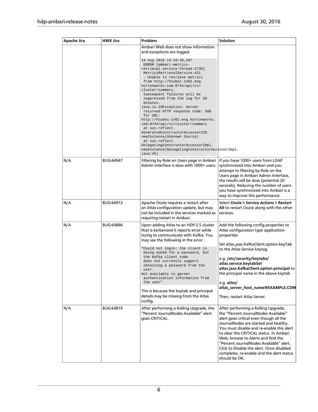| Apache Jira | <b>HWX Jira</b>  | Problem                                                                                                                                                                                                                                                                                                                                                                                                                                                                                                                                                                                                                                                                                      | Solution                                                                                                                                                                                                                                                                                                                                                                                                                                            |
|-------------|------------------|----------------------------------------------------------------------------------------------------------------------------------------------------------------------------------------------------------------------------------------------------------------------------------------------------------------------------------------------------------------------------------------------------------------------------------------------------------------------------------------------------------------------------------------------------------------------------------------------------------------------------------------------------------------------------------------------|-----------------------------------------------------------------------------------------------------------------------------------------------------------------------------------------------------------------------------------------------------------------------------------------------------------------------------------------------------------------------------------------------------------------------------------------------------|
|             |                  | Ambari Web does not show information<br>and exceptions are logged.                                                                                                                                                                                                                                                                                                                                                                                                                                                                                                                                                                                                                           |                                                                                                                                                                                                                                                                                                                                                                                                                                                     |
|             |                  | 24 Aug 2016 14:19:38,107<br>ERROR [ambari-metrics-<br>retrieval-service-thread-2738]<br>MetricsRetrievalService: 421<br>- Unable to retrieve metrics<br>from http://hcube1-1n02.eng.<br>hortonworks.com:8744/api/v1/<br>cluster/summary.<br>Subsequent failures will be<br>suppressed from the log for 20<br>minutes.<br>java.io.IOException: Server<br>returned HTTP response code: 500<br>for URL:<br>http://hcube1-1n02.eng.hortonworks.<br>com: 8744/api/v1/cluster/summary<br>at sun.reflect.<br>GeneratedConstructorAccessor228.<br>newInstance(Unknown Source)<br>at sun.reflect.<br>DelegatingConstructorAccessorImpl.<br>newInstance(DelegatingConstructorAccessorImpl.<br>java:45) |                                                                                                                                                                                                                                                                                                                                                                                                                                                     |
| N/A         | <b>BUG-64947</b> | Filtering by Role on Users page in Ambari<br>Admin Interface is slow with 1000+ users.                                                                                                                                                                                                                                                                                                                                                                                                                                                                                                                                                                                                       | If you have 1000+ users from LDAP<br>synchronized into Ambari and you<br>attempt to filtering by Role on the<br>Users page in Ambari Admin Interface,<br>the results will be slow (potential 20<br>seconds). Reducing the number of users<br>you have synchronized into Ambari is a<br>way to improve this performance.                                                                                                                             |
| N/A         | BUG-64912        | Apache Oozie requires a restart after<br>an Atlas configuration update, but may<br>not be included in the services marked as<br>requiring restart in Ambari.                                                                                                                                                                                                                                                                                                                                                                                                                                                                                                                                 | Select Oozie > Service Actions > Restart<br>All to restart Oozie along with the other<br>services.                                                                                                                                                                                                                                                                                                                                                  |
| N/A         | <b>BUG-64896</b> | Upon adding Atlas to an HDP-2.5 cluster<br>that is kerberized it reports error while<br>trying to communicate with Kafka. You<br>may see the following in the error:<br>"Could not login: the client is<br>being asked for a password, but<br>the Kafka client code<br>does not currently support<br>obtaining a password from the<br>user.<br>Not available to garner<br>authentication information from<br>the user"<br>This is because the keytab and principal                                                                                                                                                                                                                           | Add the following config properties to<br>Atlas configuration type application-<br>properties<br>Set atlas.jaas.KafkaClient.option.keyTab<br>to the Atlas Service keytag<br>e.g./etc/security/keytabs/<br>atlas.service.keytabSet<br>atlas.jaas.KafkaClient.option.principal to<br>the principal name in the above keytab<br>e.g. atlas/<br>atlas_server_host_name@EXAMPLE.COM                                                                      |
|             |                  | details may be missing from the Atlas<br>config.                                                                                                                                                                                                                                                                                                                                                                                                                                                                                                                                                                                                                                             | Then, restart Atlas Server.                                                                                                                                                                                                                                                                                                                                                                                                                         |
| N/A         | BUG-64819        | After performing a Rolling Upgrade, the<br>"Percent JournalNodes Available" alert<br>goes CRITICAL.                                                                                                                                                                                                                                                                                                                                                                                                                                                                                                                                                                                          | After performing a Rolling Upgrade,<br>the "Percent JournalNodes Available"<br>alert goes critical even though all the<br>JournalNodes are started and healthy.<br>You must disable and re-enable this alert<br>to clear the CRITICAL status. In Ambari<br>Web, browse to Alerts and find the<br>"Percent JournalNodes Available" alert.<br>Click to Disable the alert. Once disabled<br>completes, re-enable and the alert status<br>should be OK. |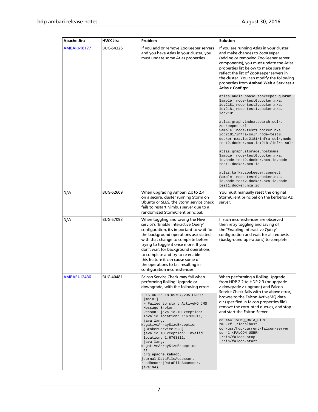| Apache Jira         | <b>HWX Jira</b>  | Problem                                                                                                                                                                                                                                                                                                                                                                                                                                  | <b>Solution</b>                                                                                                                                                                                                                                                                                                                                                                                                                                                         |
|---------------------|------------------|------------------------------------------------------------------------------------------------------------------------------------------------------------------------------------------------------------------------------------------------------------------------------------------------------------------------------------------------------------------------------------------------------------------------------------------|-------------------------------------------------------------------------------------------------------------------------------------------------------------------------------------------------------------------------------------------------------------------------------------------------------------------------------------------------------------------------------------------------------------------------------------------------------------------------|
| <b>AMBARI-18177</b> | <b>BUG-64326</b> | If you add or remove ZooKeeper servers<br>and you have Atlas in your cluster, you<br>must update some Atlas properties.                                                                                                                                                                                                                                                                                                                  | If you are running Atlas in your cluster<br>and make changes to ZooKeeper<br>(adding or removing ZooKeeper server<br>components), you must update the Atlas<br>properties list below to make sure they<br>reflect the list of ZooKeeper servers in<br>the cluster. You can modify the following<br>properties from Ambari Web > Services ><br><b>Atlas &gt; Configs:</b>                                                                                                |
|                     |                  |                                                                                                                                                                                                                                                                                                                                                                                                                                          | atlas.audit.hbase.zookeeper.quorum<br>Sample: node-test0.docker.nxa.<br>io:2181, node-test2.docker.nxa.<br>io:2181, node-test1.docker.nxa.<br>io:2181                                                                                                                                                                                                                                                                                                                   |
|                     |                  |                                                                                                                                                                                                                                                                                                                                                                                                                                          | atlas.graph.index.search.solr.<br>zookeeper-url<br>Sample: node-test1.docker.nxa.<br>io:2181/infra-solr, node-test0.<br>docker.nxa.io:2181/infra-solr,node-<br>test2.docker.nxa.io:2181/infra-solr                                                                                                                                                                                                                                                                      |
|                     |                  |                                                                                                                                                                                                                                                                                                                                                                                                                                          | atlas.graph.storage.hostname<br>Sample: node-test0.docker.nxa.<br>io, node-test2.docker.nxa.io, node-<br>test1.docker.nxa.io                                                                                                                                                                                                                                                                                                                                            |
|                     |                  |                                                                                                                                                                                                                                                                                                                                                                                                                                          | atlas.kafka.zookeeper.connect<br>Sample: node-test0.docker.nxa.<br>io, node-test2.docker.nxa.io, node-<br>testl.docker.nxa.io                                                                                                                                                                                                                                                                                                                                           |
| N/A                 | <b>BUG-62609</b> | When upgrading Ambari 2.x to 2.4<br>on a secure, cluster running Storm on<br>Ubuntu or SLES, the Storm service check<br>fails to restart Nimbus server due to a<br>randomized StormClient principal.                                                                                                                                                                                                                                     | You must manually reset the original<br>StormClient principal on the kerberos AD<br>server.                                                                                                                                                                                                                                                                                                                                                                             |
| N/A                 | <b>BUG-57093</b> | When toggling and saving the Hive<br>service's "Enable Interactive Query"<br>configuration, it's important to wait for<br>the background operations associated<br>with that change to complete before<br>trying to toggle it once more. If you<br>don't wait for background operations<br>to complete and try to re-enable<br>this feature it can cause some of<br>the operations to fail resulting in<br>configuration inconsistencies. | If such inconsistencies are observed<br>then retry toggling and saving of<br>the "Enabling Interactive Query"<br>configuration and wait for all requests<br>(background operations) to complete.                                                                                                                                                                                                                                                                        |
| <b>AMBARI-12436</b> | BUG-40481        | Falcon Service Check may fail when<br>performing Rolling Upgrade or<br>downgrade, with the following error:<br>2015-06-25 18:09:07,235 ERROR -<br>[main:]<br>~ Failed to start ActiveMQ JMS<br>Message Broker.<br>Reason: java.io.IOException:<br>Invalid location: $1:6763311,$ :<br>java.lang.<br>NegativeArraySizeException<br>(BrokerService: 528)<br>java.io.IOException: Invalid                                                   | When performing a Rolling Upgrade<br>from HDP 2.2 to HDP 2.3 (or upgrade<br>> dowgrade > upgrade) and Falcon<br>Service Check fails with the above error,<br>browse to the Falcon ActiveMQ data<br>dir (specified in falcon properties file),<br>remove the corrupted queues, and stop<br>and start the Falcon Server.<br>cd <activemq_data_dir><br/>rm -rf ./localhost<br/>cd /usr/hdp/current/falcon-server<br/>su -1 <falcon_user></falcon_user></activemq_data_dir> |
|                     |                  | location: 1:6763311, :<br>java.lang.<br>NegativeArraySizeException<br>at<br>org.apache.kahadb.<br>journal.DataFileAccessor.<br>readRecord(DataFileAccessor.<br>java:94)                                                                                                                                                                                                                                                                  | ./bin/falcon-stop<br>./bin/falcon-start                                                                                                                                                                                                                                                                                                                                                                                                                                 |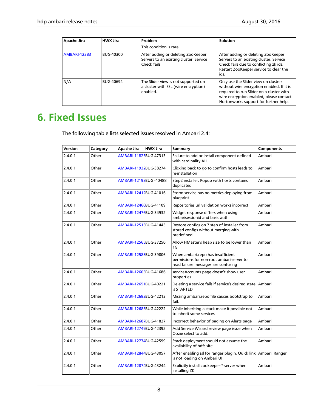| Apache Jira         | <b>HWX Jira</b>  | Problem                                                                                       | <b>Solution</b>                                                                                                                                                                                                   |
|---------------------|------------------|-----------------------------------------------------------------------------------------------|-------------------------------------------------------------------------------------------------------------------------------------------------------------------------------------------------------------------|
|                     |                  | This condition is rare.                                                                       |                                                                                                                                                                                                                   |
| <b>AMBARI-12283</b> | BUG-40300        | After adding or deleting ZooKeeper<br>Servers to an existing cluster, Service<br>Check fails. | After adding or deleting ZooKeeper<br>Servers to an existing cluster, Service<br>Check fails due to conflicting zk ids.<br>Restart ZooKeeper service to clear the<br>ids.                                         |
| N/A                 | <b>BUG-40694</b> | The Slider view is not supported on<br>a cluster with SSL (wire encryption)<br>enabled.       | Only use the Slider view on clusters<br>without wire encryption enabled. If it is<br>required to run Slider on a cluster with<br>wire encryption enabled, please contact<br>Hortonworks support for further help. |

# <span id="page-11-0"></span>**6. Fixed Issues**

The following table lists selected issues resolved in Ambari 2.4:

| Version | Category | Apache Jira             | <b>HWX Jira</b> | <b>Summary</b>                                                                                                        | <b>Components</b> |
|---------|----------|-------------------------|-----------------|-----------------------------------------------------------------------------------------------------------------------|-------------------|
| 2.4.0.1 | Other    | AMBARI-11825BUG-47313   |                 | Failure to add or install component defined<br>with cardinality ALL                                                   | Ambari            |
| 2.4.0.1 | Other    | AMBARI-11932BUG-38274   |                 | Clicking back to go to confirm hosts leads to<br>re-installation                                                      | Ambari            |
| 2.4.0.1 | Other    | AMBARI-1219 BUG - 40488 |                 | Step2 installer. Popup with hosts contains<br>duplicates                                                              | Ambari            |
| 2.4.0.1 | Other    | AMBARI-12412BUG-41016   |                 | Storm service has no metrics deploying from<br>blueprint                                                              | Ambari            |
| 2.4.0.1 | Other    | AMBARI-12460BUG-41109   |                 | Repositories url validation works incorrect                                                                           | Ambari            |
| 2.4.0.1 | Other    | AMBARI-12476BUG-34932   |                 | Widget response differs when using<br>ambarisessionid and basic auth                                                  | Ambari            |
| 2.4.0.1 | Other    | AMBARI-1251BBUG-41443   |                 | Restore configs on 7 step of installer from<br>stored configs without merging with<br>predefined                      | Ambari            |
| 2.4.0.1 | Other    | AMBARI-12565BUG-37250   |                 | Allow HMaster's heap size to be lower than<br>1G                                                                      | Ambari            |
| 2.4.0.1 | Other    | AMBARI-12583BUG-39806   |                 | When ambari.repo has insufficient<br>permissions for non-root ambari-server to<br>read failure messages are confusing | Ambari            |
| 2.4.0.1 | Other    | AMBARI-12603BUG-41686   |                 | serviceAccounts page doesn't show user<br>properties                                                                  | Ambari            |
| 2.4.0.1 | Other    | AMBARI-1265 BUG-40221   |                 | Deleting a service fails if service's desired state<br>is STARTED                                                     | Ambari            |
| 2.4.0.1 | Other    | AMBARI-12682BUG-42213   |                 | Missing ambari.repo file causes bootstrap to<br>fail.                                                                 | Ambari            |
| 2.4.0.1 | Other    | AMBARI-12688BUG-42222   |                 | While inheriting a stack make it possible not<br>to inherit some services                                             | Ambari            |
| 2.4.0.1 | Other    | AMBARI-12687BUG-41827   |                 | Incorrect behavior of paging on Alerts page                                                                           | Ambari            |
| 2.4.0.1 | Other    | AMBARI-12749BUG-42392   |                 | Add Service Wizard review page issue when<br>Oozie select to add.                                                     | Ambari            |
| 2.4.0.1 | Other    | AMBARI-12774BUG-42599   |                 | Stack deployment should not assume the<br>availability of hdfs-site                                                   | Ambari            |
| 2.4.0.1 | Other    | AMBARI-12844BUG-43057   |                 | After enabling ssl for ranger plugin, Quick link<br>is not loading on Ambari UI                                       | Ambari, Ranger    |
| 2.4.0.1 | Other    | AMBARI-12874BUG-43244   |                 | Explicitly install zookeeper-*-server when<br>installing ZK                                                           | Ambari            |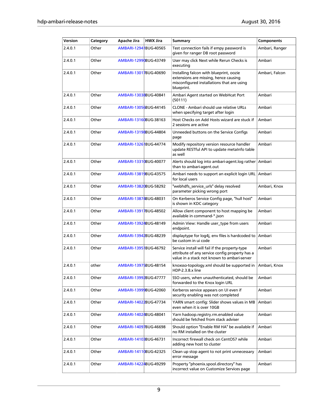| Version | Category | Apache Jira                          | <b>HWX Jira</b> | <b>Summary</b>                                                                                                                                  | <b>Components</b> |
|---------|----------|--------------------------------------|-----------------|-------------------------------------------------------------------------------------------------------------------------------------------------|-------------------|
| 2.4.0.1 | Other    | AMBARI-1294   BUG-40565              |                 | Test connection fails if empy password is<br>given for ranger DB root password                                                                  | Ambari, Ranger    |
| 2.4.0.1 | Other    | AMBARI-12990BUG-43749                |                 | User may click Next while Rerun Checks is<br>executing                                                                                          | Ambari            |
| 2.4.0.1 | Other    | AMBARI-13017BUG-40690                |                 | Installing falcon with blueprint, oozie<br>extensions are missing, hence causing<br>misconfigured installations that are using<br>blueprint.    | Ambari, Falcon    |
| 2.4.0.1 | Other    | AMBARI-13038BUG-40841                |                 | Ambari Agent started on WebHcat Port<br>(50111)                                                                                                 | Ambari            |
| 2.4.0.1 | Other    | AMBARI-13056BUG-44145                |                 | CLONE - Ambari should use relative URLs<br>when specifying target after login                                                                   | Ambari            |
| 2.4.0.1 | Other    | AMBARI-13160BUG-38163                |                 | Host Checks on Add Hosts wizard are stuck if<br>2 sessions are active                                                                           | Ambari            |
| 2.4.0.1 | Other    | AMBARI-13198BUG-44804                |                 | Unneeded buttons on the Service Configs<br>page                                                                                                 | Ambari            |
| 2.4.0.1 | Other    | AMBARI-1326 BUG-44774                |                 | Modify repository version resource handler<br>update RESTful API to update metalnfo table<br>as well                                            | Ambari            |
| 2.4.0.1 | Other    | AMBARI-13310BUG-40077                |                 | Alerts should log into ambari-agent.log rather<br>than to ambari-agent.out                                                                      | Ambari            |
| 2.4.0.1 | Other    | AMBARI-13819BUG-43575                |                 | Ambari needs to support an explicit login URL<br>for local users                                                                                | Ambari            |
| 2.4.0.1 | Other    | AMBARI-13820BUG-58292                |                 | "webhdfs_service_urls" delay resolved<br>parameter picking wrong port                                                                           | Ambari, Knox      |
| 2.4.0.1 | Other    | AMBARI-13874BUG-48031                |                 | On Kerberos Service Config page, "hull host"<br>is shown in KDC category                                                                        | Ambari            |
| 2.4.0.1 | Other    | AMBARI-13917BUG-48502                |                 | Allow client component to host mapping be<br>available in command-*.json                                                                        | Ambari            |
| 2.4.0.1 | Other    | AMBARI-13924BUG-48149                |                 | Admin View: Handle user_type from users<br>endpoint.                                                                                            | Ambari            |
| 2.4.0.1 | Other    | AMBARI-13942BUG-48239                |                 | displaytype for log4j, env files is hardcoded to<br>be custom in ui code                                                                        | Ambari            |
| 2.4.0.1 | Other    | AMBARI-1395 BUG-46792                |                 | Service install will fail if the property-type<br>attribute of any service config property has a<br>value in a stack not known to ambari-server | Ambari            |
| 2.4.0.1 | other    | AMBARI-13975BUG-48154                |                 | knoxsso-topology.xml should be supported in<br>HDP-2.3.8.x line                                                                                 | Ambari, Knox      |
| 2.4.0.1 | Other    | AMBARI-13992BUG-47777                |                 | SSO users, when unauthenticated, should be<br>forwarded to the Knox login URL                                                                   | Ambari            |
| 2.4.0.1 | Other    | AMBARI-13999BUG-42060                |                 | Kerberos service appears on UI even if<br>security enabling was not completed                                                                   | Ambari            |
| 2.4.0.1 | Other    | AMBARI-14022BUG-47734                |                 | YARN smart config: Slider shows values in MB<br>even when it is over 10GB                                                                       | Ambari            |
| 2.4.0.1 | Other    | AMBARI-14024BUG-48041                |                 | Yarn hadoop.registry.rm.enabled value<br>should be fetched from stack adviser                                                                   | Ambari            |
| 2.4.0.1 | Other    | AMBARI-14097BUG-46698                |                 | Should option "Enable RM HA" be available if<br>no RM installed on the cluster                                                                  | Ambari            |
| 2.4.0.1 | Other    | AMBARI-14103BUG-46731                |                 | Incorrect firewall check on CentOS7 while<br>adding new host to cluster                                                                         | Ambari            |
| 2.4.0.1 | Other    | AMBARI-1411 <mark>0</mark> BUG-42325 |                 | Clean up stop agent to not print unnecessary<br>error message                                                                                   | Ambari            |
| 2.4.0.1 | Other    | AMBARI-14224BUG-49299                |                 | Property "phoenix.spool.directory" has<br>incorrect value on Customize Services page                                                            | Ambari            |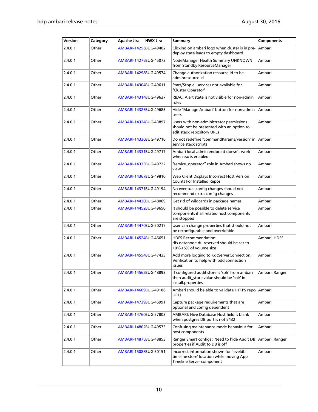| Version | Category | Apache Jira           | <b>HWX Jira</b> | <b>Summary</b>                                                                                                      | Components     |
|---------|----------|-----------------------|-----------------|---------------------------------------------------------------------------------------------------------------------|----------------|
| 2.4.0.1 | Other    | AMBARI-14256BUG-49402 |                 | Clicking on ambari logo when cluster is in pre-<br>deploy state leads to empty dashboard                            | Ambari         |
| 2.4.0.1 | Other    | AMBARI-14275BUG-45073 |                 | NodeManager Health Summary UNKNOWN<br>from Standby ResourceManager                                                  | Ambari         |
| 2.4.0.1 | Other    | AMBARI-14298BUG-49574 |                 | Change authorization resource Id to be<br>adminresource id                                                          | Ambari         |
| 2.4.0.1 | Other    | AMBARI-14304BUG-49611 |                 | Start/Stop all services not available for<br>"Cluster Operator"                                                     | Ambari         |
| 2.4.0.1 | Other    | AMBARI-14314BUG-49637 |                 | RBAC: Alert state is not visible for non-admin<br>roles                                                             | Ambari         |
| 2.4.0.1 | Other    | AMBARI-14328BUG-49683 |                 | Hide "Manage Ambari" button for non-admin<br>users                                                                  | Ambari         |
| 2.4.0.1 | Other    | AMBARI-14324BUG-43897 |                 | Users with non-administrator permissions<br>should not be presented with an option to<br>edit stack repository URLs | Ambari         |
| 2.4.0.1 | Other    | AMBARI-14330BUG-49710 |                 | Do not redefine "commandParams/version" in<br>service stack scripts                                                 | Ambari         |
| 2.4.0.1 | Other    | AMBARI-1433 BUG-49717 |                 | Ambari local admin endpoint doesn't work<br>when sso is enabled.                                                    | Ambari         |
| 2.4.0.1 | Other    | AMBARI-1433 BUG-49722 |                 | "service_operator" role in Ambari shows no<br>view                                                                  | Ambari         |
| 2.4.0.1 | Other    | AMBARI-14367BUG-49810 |                 | Web Client Displays Incorrect Host Version<br><b>Counts For Installed Repos</b>                                     | Ambari         |
| 2.4.0.1 | Other    | AMBARI-1437 BUG-49194 |                 | No eventual config changes should not<br>recommend extra config changes                                             | Ambari         |
| 2.4.0.1 | Other    | AMBARI-14430BUG-48069 |                 | Get rid of wildcards in package names.                                                                              | Ambari         |
| 2.4.0.1 | Other    | AMBARI-14452BUG-49650 |                 | It should be possible to delete service<br>components if all related host components<br>are stopped                 | Ambari         |
| 2.4.0.1 | Other    | AMBARI-14470BUG-50217 |                 | User can change properties that should not<br>be reconfigurable and overridable                                     | Ambari         |
| 2.4.0.1 | Other    | AMBARI-14524BUG-46651 |                 | <b>HDFS Recommendation:</b><br>dfs.datanode.du.reserved should be set to<br>10%-15% of volume size                  | Ambari, HDFS   |
| 2.4.0.1 | Other    | AMBARI-14554BUG-47433 |                 | Add more logging to KdcServerConnection.<br>Verification to help with odd connection<br>issues                      | Ambari         |
| 2.4.0.1 | Other    | AMBARI-14562BUG-48893 |                 | If configured audit store is 'solr' from ambari<br>then audit_store value should be 'solr' in<br>install.properties | Ambari, Ranger |
| 2.4.0.1 | Other    | AMBARI-14609BUG-49186 |                 | Ambari should be able to validate HTTPS repo<br>URLs                                                                | Ambari         |
| 2.4.0.1 | Other    | AMBARI-14739BUG-45991 |                 | Capture package requirements that are<br>optional and config dependent                                              | Ambari         |
| 2.4.0.1 | Other    | AMBARI-14760BUG-57803 |                 | AMBARI: Hive Database Host field is blank<br>when postgres DB port is not 5432                                      | Ambari         |
| 2.4.0.1 | Other    | AMBARI-14802BUG-49573 |                 | Confusing maintenance mode behaviour for<br>host components                                                         | Ambari         |
| 2.4.0.1 | Other    | AMBARI-1487 BUG-48853 |                 | Ranger Smart configs : Need to hide Audit DB<br>properties if Audit to DB is off                                    | Ambari, Ranger |
| 2.4.0.1 | Other    | AMBARI-15088BUG-50151 |                 | Incorrect information shown for leveldb-<br>timeline-store' location while moving App<br>Timeline Server component  | Ambari         |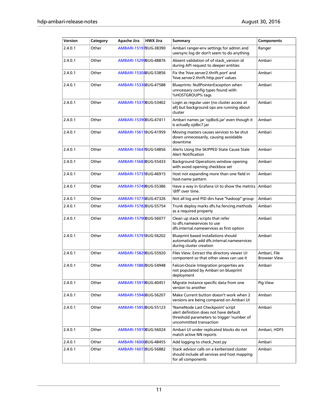| Version | Category | <b>Apache Jira</b>    | <b>HWX Jira</b> | Summary                                                                                                                                              | <b>Components</b>                   |
|---------|----------|-----------------------|-----------------|------------------------------------------------------------------------------------------------------------------------------------------------------|-------------------------------------|
| 2.4.0.1 | Other    | AMBARI-15197BUG-38390 |                 | Ambari ranger-env settings for admin and<br>usersync log dir don't seem to do anything                                                               | Ranger                              |
| 2.4.0.1 | Other    | AMBARI-15299BUG-48876 |                 | Absent validation of of stack_version id<br>during API request to deeper entities                                                                    | Ambari                              |
| 2.4.0.1 | Other    | AMBARI-15304BUG-53856 |                 | Fix the 'hive.server2.thrift.port' and<br>'hive.server2.thrift.http.port' values                                                                     | Ambari                              |
| 2.4.0.1 | Other    | AMBARI-15336BUG-47588 |                 | Blueprints: NullPointerException when<br>unncessary config types found with<br>%HOSTGROUP% tags                                                      | Ambari                              |
| 2.4.0.1 | Other    | AMBARI-15370BUG-53402 |                 | Login as regular user (no cluster access at<br>all) but background ops are running about<br>cluster                                                  | Ambari                              |
| 2.4.0.1 | Other    | AMBARI-15390BUG-47411 |                 | Ambari names jar 'ojdbc6.jar' even though it<br>is actually oidbc7.jar                                                                               | Ambari                              |
| 2.4.0.1 | Other    | AMBARI-1561 BUG-41959 |                 | Moving masters causes services to be shut<br>down unnecessarily, causing avoidable<br>downtime                                                       | Ambari                              |
| 2.4.0.1 | Other    | AMBARI-15647BUG-54856 |                 | Alerts Using the SKIPPED State Cause Stale<br><b>Alert Notification</b>                                                                              | Ambari                              |
| 2.4.0.1 | Other    | AMBARI-1568BBUG-55433 |                 | Background Operations window opening<br>with avoid opening checkbox set                                                                              | Ambari                              |
| 2.4.0.1 | Other    | AMBARI-1573 BUG-46915 |                 | Host not expanding more than one field in<br>host-name pattern                                                                                       | Ambari                              |
| 2.4.0.1 | Other    | AMBARI-15749BUG-55386 |                 | Have a way in Grafana UI to show the metrics<br>'diff' over time.                                                                                    | Ambari                              |
| 2.4.0.1 | Other    | AMBARI-15776BUG-47326 |                 | Not all log and PID dirs have "hadoop" group                                                                                                         | Ambari                              |
| 2.4.0.1 | Other    | AMBARI-15782BUG-55754 |                 | Trunk deploy marks dfs.ha.fencing.methods<br>as a required property                                                                                  | Ambari                              |
| 2.4.0.1 | Other    | AMBARI-15790BUG-56077 |                 | Clean up stack scripts that refer<br>to dfs.nameservices to use<br>dfs.internal.nameservices as first option                                         | Ambari                              |
| 2.4.0.1 | Other    | AMBARI-1579 BUG-56202 |                 | Blueprint based installations should<br>automatically add dfs.internal.nameservices<br>during cluster creation                                       | Ambari                              |
| 2.4.0.1 | Other    | AMBARI-15829BUG-55920 |                 | Files View: Extract the directory viewer UI<br>component so that other views can use it                                                              | Ambari, File<br><b>Browser View</b> |
| 2.4.0.1 | Other    | AMBARI-15882BUG-54948 |                 | Falcon-Oozie Integration properties are<br>not populated by Ambari on blueprint<br>deployment                                                        | Ambari                              |
| 2.4.0.1 | Other    | AMBARI-15919BUG-40451 |                 | Migrate instance specific data from one<br>version to another                                                                                        | Pig View                            |
| 2.4.0.1 | Other    | AMBARI-15946BUG-56207 |                 | Make Current button doesn't work when 2<br>versions are being compared on Ambari UI                                                                  | Ambari                              |
| 2.4.0.1 | Other    | AMBARI-15953BUG-55123 |                 | 'NameNode Last Checkpoint' script<br>alert definition does not have default<br>threshold parameters to trigger 'number of<br>uncommitted transaction | Ambari                              |
| 2.4.0.1 | Other    | AMBARI-15970BUG-56024 |                 | Ambari UI under replicated blocks do not<br>match active NN reports                                                                                  | Ambari, HDFS                        |
| 2.4.0.1 | Other    | AMBARI-16006BUG-48455 |                 | Add logging to check_host.py                                                                                                                         | Ambari                              |
| 2.4.0.1 | Other    | AMBARI-16072BUG-56882 |                 | Stack advisor calls on a kerberized cluster<br>should include all services and host mapping<br>for all components                                    | Ambari                              |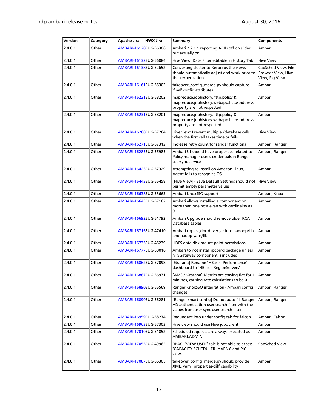| Version | Category | Apache Jira           | <b>HWX Jira</b> | <b>Summary</b>                                                                                                                             | <b>Components</b>                                                  |
|---------|----------|-----------------------|-----------------|--------------------------------------------------------------------------------------------------------------------------------------------|--------------------------------------------------------------------|
| 2.4.0.1 | Other    | AMBARI-16128BUG-56306 |                 | Ambari 2.2.1.1 reporting ACID off on slider,<br>but actually on                                                                            | Ambari                                                             |
| 2.4.0.1 | Other    | AMBARI-16132BUG-56084 |                 | Hive View: Date Filter editable in History Tab                                                                                             | <b>Hive View</b>                                                   |
| 2.4.0.1 | Other    | AMBARI-16138BUG-52652 |                 | Converting cluster to Kerberos the views<br>should automatically adjust and work prior to<br>the kerberization                             | CapSched View, File<br><b>Browser View, Hive</b><br>View, Pig View |
| 2.4.0.1 | Other    | AMBARI-16161BUG-56302 |                 | takeover_config_merge.py should capture<br>'final' config attributes                                                                       | Ambari                                                             |
| 2.4.0.1 | Other    | AMBARI-1623 BUG-58202 |                 | mapreduce.jobhistory.http.policy &<br>mapreduce.jobhistory.webapp.https.address<br>property are not respected                              | Ambari                                                             |
| 2.4.0.1 | Other    | AMBARI-1623 BUG-58201 |                 | mapreduce.jobhistory.http.policy &<br>mapreduce.jobhistory.webapp.https.address<br>property are not respected                              | Ambari                                                             |
| 2.4.0.1 | Other    | AMBARI-16260BUG-57264 |                 | Hive view: Prevent multiple /database calls<br>when the first call takes time or fails                                                     | <b>Hive View</b>                                                   |
| 2.4.0.1 | Other    | AMBARI-1627 BUG-57312 |                 | Increase retry count for ranger functions                                                                                                  | Ambari, Ranger                                                     |
| 2.4.0.1 | Other    | AMBARI-16285BUG-55985 |                 | Ambari UI should have properties related to<br>Policy manager user's credentials in Ranger<br>usersync service                             | Ambari, Ranger                                                     |
| 2.4.0.1 | Other    | AMBARI-1642 BUG-57329 |                 | Attempting to install on Amazon Linux,<br>Agent fails to recognize OS                                                                      | Ambari                                                             |
| 2.4.0.1 | Other    | AMBARI-16443BUG-56458 |                 | [Hive View] - Save Default Settings should not<br>permit empty parameter values                                                            | <b>Hive View</b>                                                   |
| 2.4.0.1 | Other    | AMBARI-16638BUG-53663 |                 | Ambari KnoxSSO support                                                                                                                     | Ambari, Knox                                                       |
| 2.4.0.1 | Other    | AMBARI-16643BUG-57162 |                 | Ambari allows installing a component on<br>more than one host even with cardinality as<br>$0 - 1$                                          | Ambari                                                             |
| 2.4.0.1 | Other    | AMBARI-16692BUG-51792 |                 | Ambari Upgrade should remove older RCA<br>Database tables                                                                                  | Ambari                                                             |
| 2.4.0.1 | Other    | AMBARI-16716BUG-47410 |                 | Ambari copies jdbc driver jar into hadoop/lib<br>and haoop-yarn/lib                                                                        | Ambari                                                             |
| 2.4.0.1 | Other    | AMBARI-16735BUG-46239 |                 | HDFS data disk mount point permissions                                                                                                     | Ambari                                                             |
| 2.4.0.1 | Other    | AMBARI-16777BUG-58016 |                 | Ambari to not install rpcbind package unless<br>NFSGateway component is included                                                           | Ambari                                                             |
| 2.4.0.1 | Other    | AMBARI-16862BUG-57098 |                 | [Grafana] Rename "HBase - Performance"<br>dashboard to "HBase - RegionServers"                                                             | Ambari                                                             |
| 2.4.0.1 | Other    | AMBARI-16887BUG-56971 |                 | [AMS / Grafana] Metrics are staying flat for 1<br>minutes, causing rate calculations to be 0                                               | Ambari                                                             |
| 2.4.0.1 | Other    | AMBARI-16890BUG-56569 |                 | Ranger KnoxSSO integration - Ambari config<br>changes                                                                                      | Ambari, Ranger                                                     |
| 2.4.0.1 | Other    | AMBARI-16890BUG-56281 |                 | [Ranger smart config] Do not auto fill Ranger<br>AD authentication user search filter with the<br>values from user sync user search filter | Ambari, Ranger                                                     |
| 2.4.0.1 | Other    | AMBARI-16959BUG-58274 |                 | Redundant info under config tab for falcon                                                                                                 | Ambari, Falcon                                                     |
| 2.4.0.1 | Other    | AMBARI-1696BBUG-57303 |                 | Hive view should use Hive jdbc client                                                                                                      | Ambari                                                             |
| 2.4.0.1 | Other    | AMBARI-17010BUG-51852 |                 | Scheduled requests are always executed as<br>AMBARI.ADMIN                                                                                  | Ambari                                                             |
| 2.4.0.1 | Other    | AMBARI-17055BUG-49962 |                 | RBAC: "VIEW USER" role is not able to access<br>"CAPACITY SCHEDULER (YARN)" and PIG<br>views                                               | CapSched View                                                      |
| 2.4.0.1 | Other    | AMBARI-17087BUG-56305 |                 | takeover_config_merge.py should provide<br>XML, yaml, properties-diff capability                                                           | Ambari                                                             |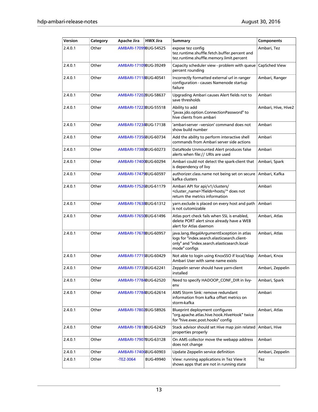| Version | Category | Apache Jira           | <b>HWX Jira</b>  | <b>Summary</b>                                                                                                                                               | <b>Components</b>   |
|---------|----------|-----------------------|------------------|--------------------------------------------------------------------------------------------------------------------------------------------------------------|---------------------|
| 2.4.0.1 | Other    | AMBARI-17099BUG-54525 |                  | expose tez config<br>tez.runtime.shuffle.fetch.buffer.percent and<br>tez.runtime.shuffle.memory.limit.percent                                                | Ambari, Tez         |
| 2.4.0.1 | Other    | AMBARI-17109BUG-39249 |                  | Capacity scheduler view - problem with queue CapSched View<br>percent rounding                                                                               |                     |
| 2.4.0.1 | Other    | AMBARI-17118BUG-40541 |                  | Incorrectly formatted external url in ranger<br>configuration - causes Namenode startup<br>failure                                                           | Ambari, Ranger      |
| 2.4.0.1 | Other    | AMBARI-17202BUG-58637 |                  | Upgrading Ambari causes Alert fields not to<br>save thresholds                                                                                               | Ambari              |
| 2.4.0.1 | Other    | AMBARI-1722BBUG-55518 |                  | Ability to add<br>"javax.jdo.option.ConnectionPassword" to<br>hive clients from ambari                                                                       | Ambari, Hive, Hive2 |
| 2.4.0.1 | Other    | AMBARI-17234BUG-17138 |                  | 'ambari-server –version' command does not<br>show build number                                                                                               | Ambari              |
| 2.4.0.1 | Other    | AMBARI-17356BUG-60734 |                  | Add the ability to perform interactive shell<br>commands from Ambari server side actions                                                                     | Ambari              |
| 2.4.0.1 | Other    | AMBARI-17380BUG-60273 |                  | DataNode Unmounted Alert produces false<br>alerts when file:// URIs are used                                                                                 | Ambari              |
| 2.4.0.1 | Other    | AMBARI-17400BUG-60294 |                  | Ambari could not detect the spark-client that<br>is dependency of livy                                                                                       | Ambari, Spark       |
| 2.4.0.1 | Other    | AMBARI-17479BUG-60597 |                  | authorizer.class.name not being set on secure<br>kafka clusters                                                                                              | Ambari, Kafka       |
| 2.4.0.1 | Other    | AMBARI-17526BUG-61179 |                  | Ambari API for api/v1/clusters/<br><cluster_name>?fields=hosts/* does not<br/>return the metrics information</cluster_name>                                  | Ambari              |
| 2.4.0.1 | Other    | AMBARI-17638BUG-61312 |                  | yarn exclude is placed on every host and path<br>is not cutomizable                                                                                          | Ambari              |
| 2.4.0.1 | Other    | AMBARI-17650BUG-61496 |                  | Atlas port check fails when SSL is enabled,<br>delete PORT alert since already have a WEB<br>alert for Atlas daemon                                          | Ambari, Atlas       |
| 2.4.0.1 | Other    | AMBARI-17678BUG-60957 |                  | java.lang.IllegalArgumentException in atlas<br>logs for "index.search.elasticsearch.client-<br>only" and "index.search.elasticsearch.local-<br>mode" configs | Ambari, Atlas       |
| 2.4.0.1 | Other    | AMBARI-17715BUG-60429 |                  | Not able to login using KnoxSSO if local/Idap<br>Ambari User with same name exists                                                                           | Ambari, Knox        |
| 2.4.0.1 | Other    | AMBARI-17735BUG-62241 |                  | Zeppelin server should have yarn-client<br>installed                                                                                                         | Ambari, Zeppelin    |
| 2.4.0.1 | Other    | AMBARI-17784BUG-62520 |                  | Need to specify HADOOP CONF DIR in livy-<br>env                                                                                                              | Ambari, Spark       |
| 2.4.0.1 | Other    | AMBARI-17784BUG-62614 |                  | AMS Storm Sink: remove redundant<br>information from kafka offset metrics on<br>storm-kafka                                                                  | Ambari              |
| 2.4.0.1 | Other    | AMBARI-17802BUG-58926 |                  | Blueprint deployment configures<br>"org.apache.atlas.hive.hook.HiveHook" twice<br>for "hive.exec.post.hooks" config                                          | Ambari, Atlas       |
| 2.4.0.1 | Other    | AMBARI-17818BUG-62429 |                  | Stack advisor should set Hive map join related<br>properties properly                                                                                        | Ambari, Hive        |
| 2.4.0.1 | Other    | AMBARI-17907BUG-63128 |                  | On AMS collector move the webapp address<br>does not change                                                                                                  | Ambari              |
| 2.4.0.1 | Other    | AMBARI-17406BUG-60903 |                  | Update Zeppelin service definition                                                                                                                           | Ambari, Zeppelin    |
| 2.4.0.1 | Other    | -TEZ-3064             | <b>BUG-49940</b> | View: running applications in Tez View it<br>shows apps that are not in running state                                                                        | Tez                 |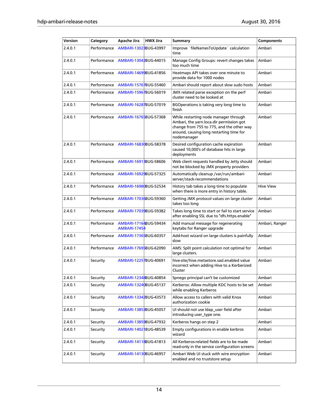| Version | Category    | <b>Apache Jira</b>                           | <b>HWX Jira</b> | Summary                                                                                                                                                                                   | <b>Components</b> |
|---------|-------------|----------------------------------------------|-----------------|-------------------------------------------------------------------------------------------------------------------------------------------------------------------------------------------|-------------------|
| 2.4.0.1 | Performance | AMBARI-1302BBUG-43997                        |                 | Improve `fileNamesToUpdate` calculation<br>time                                                                                                                                           | Ambari            |
| 2.4.0.1 | Performance | AMBARI-13042BUG-44015                        |                 | Manage Config Groups: revert changes takes<br>too much time                                                                                                                               | Ambari            |
| 2.4.0.1 | Performance | AMBARI-14699BUG-41856                        |                 | Heatmaps API takes over one minute to<br>provide data for 1000 nodes                                                                                                                      | Ambari            |
| 2.4.0.1 | Performance | AMBARI-15767BUG-55460                        |                 | Ambari should report about slow sudo hosts                                                                                                                                                | Ambari            |
| 2.4.0.1 | Performance | AMBARI-15967BUG-56019                        |                 | JMX related parse exception on the perf<br>cluster need to be looked at                                                                                                                   | Ambari            |
| 2.4.0.1 | Performance | AMBARI-16287BUG-57019                        |                 | BGOperations is taking very long time to<br>finish                                                                                                                                        | Ambari            |
| 2.4.0.1 | Performance | AMBARI-16765BUG-57368                        |                 | While restarting node manager through<br>Ambari, the yarn.loca.dir permission got<br>change from 755 to 775, and the other way<br>around, causing long restarting time for<br>nodemanager | Ambari            |
| 2.4.0.1 | Performance | AMBARI-16830BUG-58378                        |                 | Desired configuration cache expiration<br>caused 10,000's of database hits in large<br>deployments                                                                                        | Ambari            |
| 2.4.0.1 | Performance | AMBARI-16913BUG-58606                        |                 | Web client requests handled by Jetty should<br>not be blocked by JMX property providers                                                                                                   | Ambari            |
| 2.4.0.1 | Performance | AMBARI-16929BUG-57325                        |                 | Automatically cleanup /var/run/ambari-<br>server/stack-recommendations                                                                                                                    | Ambari            |
| 2.4.0.1 | Performance | AMBARI-16980BUG-52534                        |                 | History tab takes a long time to populate<br>when there is more entry in history table.                                                                                                   | <b>Hive View</b>  |
| 2.4.0.1 | Performance | AMBARI-17036BUG-59360                        |                 | Getting JMX protocol values on large cluster<br>takes too long                                                                                                                            | Ambari            |
| 2.4.0.1 | Performance | AMBARI-17039BUG-59382                        |                 | Takes long time to start or fail to start service<br>after enabling SSL due to "dfs.https.enable"                                                                                         | Ambari            |
| 2.4.0.1 | Performance | AMBARI-17164BUG-59434<br><b>AMBARI-17454</b> |                 | Add manual message for regenerating<br>keytabs for Ranger upgrade                                                                                                                         | Ambari, Ranger    |
| 2.4.0.1 | Performance | AMBARI-17365BUG-60357                        |                 | Add-host wizard on large clusters is painfully<br>slow                                                                                                                                    | Ambari            |
| 2.4.0.1 | Performance | AMBARI-17695BUG-62090                        |                 | AMS: Split point calculation not optimal for<br>large clusters.                                                                                                                           | Ambari            |
| 2.4.0.1 | Security    | AMBARI-12257BUG-40691                        |                 | hive-site/hive.metastore.sasl.enabled value<br>incorrect when adding Hive to a Kerberized<br>Cluster                                                                                      | Ambari            |
| 2.4.0.1 | Security    | AMBARI-12348BUG-40854                        |                 | Spnego principal can't be customized                                                                                                                                                      | Ambari            |
| 2.4.0.1 | Security    | AMBARI-13240BUG-45137                        |                 | Kerberos: Allow multiple KDC hosts to be set<br>while enabling Kerberos                                                                                                                   | Ambari            |
| 2.4.0.1 | Security    | AMBARI-13342BUG-43573                        |                 | Allow access to callers with valid Knox<br>authorization cookie                                                                                                                           | Ambari            |
| 2.4.0.1 | Security    | AMBARI-13853BUG-45057                        |                 | UI should not use Idap_user field after<br>introducing user_type one.                                                                                                                     | Ambari            |
| 2.4.0.1 | Security    | AMBARI-13859BUG-47932                        |                 | Kerberos hangs on step 2                                                                                                                                                                  | Ambari            |
| 2.4.0.1 | Security    | AMBARI-1402 BUG-48539                        |                 | Empty configurations in enable kerbros<br>wizard                                                                                                                                          | Ambari            |
| 2.4.0.1 | Security    | AMBARI-14118BUG-41813                        |                 | All Kerberos-related fields are to be made<br>read-only in the service configuration screens                                                                                              | Ambari            |
| 2.4.0.1 | Security    | AMBARI-14130BUG-46957                        |                 | Ambari Web UI stuck with wire encryption<br>enabled and no truststore setup                                                                                                               | Ambari            |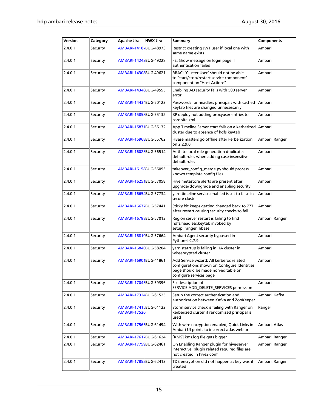| Version | Category | <b>Apache Jira</b>                           | <b>HWX Jira</b> | <b>Summary</b>                                                                                                                                             | <b>Components</b> |
|---------|----------|----------------------------------------------|-----------------|------------------------------------------------------------------------------------------------------------------------------------------------------------|-------------------|
| 2.4.0.1 | Security | AMBARI-14187BUG-48973                        |                 | Restrict creating JWT user if local one with<br>same name exists                                                                                           | Ambari            |
| 2.4.0.1 | Security | AMBARI-1424 BBUG-49228                       |                 | FE: Show message on login page if<br>authentication failed                                                                                                 | Ambari            |
| 2.4.0.1 | Security | AMBARI-14308BUG-49621                        |                 | RBAC: "Cluster User" should not be able<br>to "start/stop/restart service component"<br>component on "Host Actions"                                        | Ambari            |
| 2.4.0.1 | Security | AMBARI-14348BUG-49555                        |                 | Enabling AD security fails with 500 server<br>error                                                                                                        | Ambari            |
| 2.4.0.1 | Security | AMBARI-14434BUG-50123                        |                 | Passwords for headless principals with cached<br>keytab files are changed unnecessarily                                                                    | Ambari            |
| 2.4.0.1 | Security | AMBARI-15858BUG-55132                        |                 | BP deploy not adding proxyuser entries to<br>core-site.xml                                                                                                 | Ambari            |
| 2.4.0.1 | Security | AMBARI-1587 BUG-56132                        |                 | App Timeline Server start fails on a kerberized<br>cluster due to absence of hdfs keytab                                                                   | Ambari            |
| 2.4.0.1 | Security | AMBARI-15968BUG-55762                        |                 | HBase masters go offline after kerberization<br>on 2.2.9.0                                                                                                 | Ambari, Ranger    |
| 2.4.0.1 | Security | AMBARI-1602BBUG-56514                        |                 | Auth-to-local rule generation duplicates<br>default rules when adding case-insensitive<br>default rules                                                    | Ambari            |
| 2.4.0.1 | Security | AMBARI-16158BUG-56095                        |                 | takeover_config_merge.py should process<br>known template config files                                                                                     | Ambari            |
| 2.4.0.1 | Security | AMBARI-1625 BUG-57058                        |                 | Hive metastore alerts are present after<br>upgrade/downgrade and enabling security                                                                         | Ambari            |
| 2.4.0.1 | Security | AMBARI-16654BUG-57734                        |                 | yarn.timeline-service.enabled is set to false in<br>secure cluster                                                                                         | Ambari            |
| 2.4.0.1 | Security | AMBARI-16677BUG-57441                        |                 | Sticky bit keeps getting changed back to 777<br>after restart causing security checks to fail                                                              | Ambari            |
| 2.4.0.1 | Security | AMBARI-16788BUG-57013                        |                 | Region server restart is failing to find<br>hdfs.headless.keytab invoked by<br>setup_ranger_hbase                                                          | Ambari, Ranger    |
| 2.4.0.1 | Security | AMBARI-16810BUG-57664                        |                 | Ambari Agent security bypassed in<br>Python=>2.7.9                                                                                                         | Ambari            |
| 2.4.0.1 | Security | AMBARI-16840BUG-58204                        |                 | varn statrtup is failing in HA cluster in<br>wireencypted cluster                                                                                          | Ambari            |
| 2.4.0.1 | Security | AMBARI-1690 BUG-41861                        |                 | Add Service wizard: All kerberos related<br>configurations shown on Configure Identities<br>page should be made non-editable on<br>configure services page | Ambari            |
| 2.4.0.1 | Security | AMBARI-1704 BBUG-59396                       |                 | Fix description of<br>SERVICE.ADD DELETE SERVICES permission                                                                                               | Ambari            |
| 2.4.0.1 | Security | AMBARI-17324BUG-61525                        |                 | Setup the correct authentication and<br>authorization between Kafka and ZooKeeper                                                                          | Ambari, Kafka     |
| 2.4.0.1 | Security | AMBARI-17415BUG-61122<br><b>AMBARI-17520</b> |                 | Storm service check is failing with Ranger on<br>kerberized cluster if randomized principal is<br>used                                                     | Ranger            |
| 2.4.0.1 | Security | AMBARI-17565BUG-61494                        |                 | With wire-encryption enabled, Quick Links in<br>Ambari UI points to incorrect atlas web url                                                                | Ambari, Atlas     |
| 2.4.0.1 | Security | AMBARI-17617BUG-61624                        |                 | [KMS] kms.log file gets bigger                                                                                                                             | Ambari, Ranger    |
| 2.4.0.1 | Security | AMBARI-17759BUG-62461                        |                 | On Enabling Ranger plugin for hive-server<br>interactive, plugin related required files are<br>not created in hive2-conf                                   | Ambari, Ranger    |
| 2.4.0.1 | Security | AMBARI-17852BUG-62413                        |                 | TDE encryption did not happen as key wasnt<br>created                                                                                                      | Ambari, Ranger    |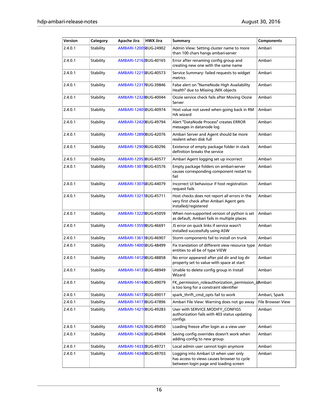| Version | Category  | <b>Apache Jira</b>     | <b>HWX Jira</b> | <b>Summary</b>                                                                                                                | <b>Components</b>        |
|---------|-----------|------------------------|-----------------|-------------------------------------------------------------------------------------------------------------------------------|--------------------------|
| 2.4.0.1 | Stability | AMBARI-12005BUG-24902  |                 | Admin View: Setting cluster name to more<br>than 100 chars hangs ambari-server                                                | Ambari                   |
| 2.4.0.1 | Stability | AMBARI-12162BUG-40165  |                 | Error after renaming config group and<br>creating new one with the same name                                                  | Ambari                   |
| 2.4.0.1 | Stability | AMBARI-12215BUG-40573  |                 | Service Summary: failed requests to widget<br>metrics                                                                         | Ambari                   |
| 2.4.0.1 | Stability | AMBARI-12317BUG-39846  |                 | False alert on "NameNode High Availability<br>Health" due to Missing JMX objects                                              | Ambari                   |
| 2.4.0.1 | Stability | AMBARI-12324BUG-40044  |                 | Oozie service check fails after Moving Oozie<br>Server                                                                        | Ambari                   |
| 2.4.0.1 | Stability | AMBARI-12405BUG-40974  |                 | Host value not saved when going back in RM<br><b>HA</b> wizard                                                                | Ambari                   |
| 2.4.0.1 | Stability | AMBARI-12420BUG-49794  |                 | Alert "DataNode Process" creates ERROR<br>messages in datanode log                                                            | Ambari                   |
| 2.4.0.1 | Stability | AMBARI-12890BUG-42076  |                 | Ambari Server and Agent should be more<br>resilent when disk full                                                             | Ambari                   |
| 2.4.0.1 | Stability | AMBARI-12909BUG-40296  |                 | Existence of empty package folder in stack<br>definition breaks the service                                                   | Ambari                   |
| 2.4.0.1 | Stability | AMBARI-1295BBUG-40577  |                 | Ambari Agent logging set up incorrect                                                                                         | Ambari                   |
| 2.4.0.1 | Stability | AMBARI-13019BUG-43576  |                 | Empty package folders on ambari-server<br>causes corresponding component restart to<br>fail                                   | Ambari                   |
| 2.4.0.1 | Stability | AMBARI-13076BUG-44079  |                 | Incorrect UI behaviour if host registration<br>request fails                                                                  | Ambari                   |
| 2.4.0.1 | Stability | AMBARI-1321 BUG-45711  |                 | Host checks does not report all errors in the<br>very first check after Ambari Agent gets<br>installed/registered             | Ambari                   |
| 2.4.0.1 | Stability | AMBARI-13229BUG-45059  |                 | When non-supported version of python is set<br>as default, Ambari fails in multiple places                                    | Ambari                   |
| 2.4.0.1 | Stability | AMBARI-13559BUG-46691  |                 | JS error on quick links if service wasn't<br>installed successfully using ASW                                                 | Ambari                   |
| 2.4.0.1 | Stability | AMBARI-1361 BUG-46907  |                 | Storm components fail to install on trunk                                                                                     | Ambari                   |
| 2.4.0.1 | Stability | AMBARI-14005BUG-48499  |                 | Fix translation of different view resource type<br>entities to all be of type VIEW                                            | Ambari                   |
| 2.4.0.1 | Stability | AMBARI-14129BUG-48858  |                 | No error appeared after pid dir and log dir<br>property set to value with space at start                                      | Ambari                   |
| 2.4.0.1 | Stability | AMBARI-14135BUG-48949  |                 | Unable to delete config group in Install<br>Wizard                                                                            | Ambari                   |
| 2.4.0.1 | Stability | AMBARI-14144BUG-49079  |                 | FK_permission_roleauthorization_permission_idAmbari<br>is too long for a constraint identifier                                |                          |
| 2.4.0.1 | Stability | AMBARI-14172BUG-49017  |                 | spark_thrift_cmd_opts fail to work                                                                                            | Ambari, Spark            |
| 2.4.0.1 | Stability | AMBARI-1417 BBUG-47896 |                 | Ambari File View: Warning does not go away                                                                                    | <b>File Browser View</b> |
| 2.4.0.1 | Stability | AMBARI-14210BUG-49283  |                 | User with SERVICE.MODIFY_CONFIGS<br>authorization fails with 403 status updating<br>configs                                   | Ambari                   |
| 2.4.0.1 | Stability | AMBARI-1426 BUG-49450  |                 | Loading freeze after login as a view user                                                                                     | Ambari                   |
| 2.4.0.1 | Stability | AMBARI-14265BUG-49404  |                 | Saving config overrides doesn't work when<br>adding config to new group.                                                      | Ambari                   |
| 2.4.0.1 | Stability | AMBARI-14332BUG-49721  |                 | Local admin user cannot login anymore                                                                                         | Ambari                   |
| 2.4.0.1 | Stability | AMBARI-14340BUG-49703  |                 | Logging into Ambari UI when user only<br>has access to views causes browser to cycle<br>between login page and loading screen | Ambari                   |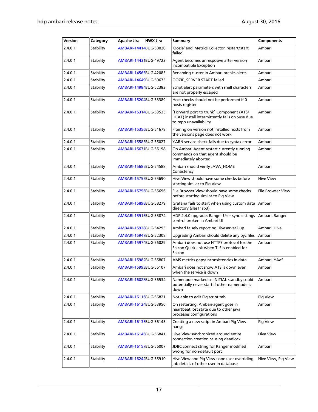| Version | Category  | <b>Apache Jira</b>    | <b>HWX Jira</b> | Summary                                                                                                             | <b>Components</b>        |
|---------|-----------|-----------------------|-----------------|---------------------------------------------------------------------------------------------------------------------|--------------------------|
| 2.4.0.1 | Stability | AMBARI-14414BUG-50020 |                 | 'Oozie' and 'Metrics Collector' restart/start<br>failed                                                             | Ambari                   |
| 2.4.0.1 | Stability | AMBARI-1443 BUG-49723 |                 | Agent becomes unresposive after version<br>incompatible Exception                                                   | Ambari                   |
| 2.4.0.1 | Stability | AMBARI-14565BUG-42085 |                 | Renaming cluster in Ambari breaks alerts                                                                            | Ambari                   |
| 2.4.0.1 | Stability | AMBARI-14649BUG-50675 |                 | OOZIE_SERVER START failed                                                                                           | Ambari                   |
| 2.4.0.1 | Stability | AMBARI-14984BUG-52383 |                 | Script alert parameters with shell characters<br>are not properly escaped                                           | Ambari                   |
| 2.4.0.1 | Stability | AMBARI-15204BUG-53389 |                 | Host checks should not be performed if 0<br>hosts register                                                          | Ambari                   |
| 2.4.0.1 | Stability | AMBARI-15314BUG-53535 |                 | [Forward port to trunk] Component (ATS/<br>HCAT) install intermittently fails on Suse due<br>to repo unavailability | Ambari                   |
| 2.4.0.1 | Stability | AMBARI-15356BUG-51678 |                 | Fitering on version not installed hosts from<br>the versions page does not work                                     | Ambari                   |
| 2.4.0.1 | Stability | AMBARI-15583BUG-55027 |                 | YARN service check fails due to syntax error                                                                        | Ambari                   |
| 2.4.0.1 | Stability | AMBARI-15671BUG-55198 |                 | On Ambari Agent restart currently running<br>commands on that agent should be<br>immediately aborted                | Ambari                   |
| 2.4.0.1 | Stability | AMBARI-15685BUG-54588 |                 | Ambari should verify JAVA_HOME<br>Consistency                                                                       | Ambari                   |
| 2.4.0.1 | Stability | AMBARI-15755BUG-55690 |                 | Hive View should have some checks before<br>starting similar to Pig View                                            | <b>Hive View</b>         |
| 2.4.0.1 | Stability | AMBARI-15756BUG-55696 |                 | File Browser View should have some checks<br>before starting similar to Pig View                                    | <b>File Browser View</b> |
| 2.4.0.1 | Stability | AMBARI-15898BUG-58279 |                 | Grafana fails to start when using custom data<br>directory (sles11sp3)                                              | Ambari                   |
| 2.4.0.1 | Stability | AMBARI-15913BUG-55874 |                 | HDP 2.4.0 upgrade: Ranger User sync settings<br>control broken in Ambari UI                                         | Ambari, Ranger           |
| 2.4.0.1 | Stability | AMBARI-15928BUG-54295 |                 | Ambari falsely reporting Hiveserver2 up                                                                             | Ambari, Hive             |
| 2.4.0.1 | Stability | AMBARI-15947BUG-52308 |                 | Upgrading Ambari should delete any pyc files                                                                        | Ambari                   |
| 2.4.0.1 | Stability | AMBARI-15974BUG-56029 |                 | Ambari does not use HTTPS protocol for the<br>Falcon QuickLink when TLS is enabled for<br>Falcon                    | Ambari                   |
| 2.4.0.1 | Stability | AMBARI-15982BUG-55807 |                 | AMS metrics gaps/inconsistencies in data                                                                            | Ambari, YAaS             |
| 2.4.0.1 | Stability | AMBARI-15993BUG-56107 |                 | Ambari does not show ATS is down even<br>when the service is down                                                   | Ambari                   |
| 2.4.0.1 | Stability | AMBARI-16028BUG-56534 |                 | Namenode marked as INITIAL standby could<br>potentially never start if other namenode is<br>down                    | Ambari                   |
| 2.4.0.1 | Stability | AMBARI-16116BUG-56821 |                 | Not able to edit Pig script tab                                                                                     | Pig View                 |
| 2.4.0.1 | Stability | AMBARI-16124BUG-53956 |                 | On restarting, Ambari-agent goes in<br>heartbeat lost state due to other java<br>processes configurations           | Ambari                   |
| 2.4.0.1 | Stability | AMBARI-16135BUG-56143 |                 | Creating a new script in Ambari Pig View<br>hangs                                                                   | Pig View                 |
| 2.4.0.1 | Stability | AMBARI-16146BUG-56841 |                 | Hive View synchronized around entire<br>connection creation causing deadlock                                        | <b>Hive View</b>         |
| 2.4.0.1 | Stability | AMBARI-16157BUG-56007 |                 | JDBC connect string for Ranger modified<br>wrong for non-default port                                               | Ambari                   |
| 2.4.0.1 | Stability | AMBARI-16242BUG-55910 |                 | Hive View and Pig View : one user overriding<br>job details of other user in database                               | Hive View, Pig View      |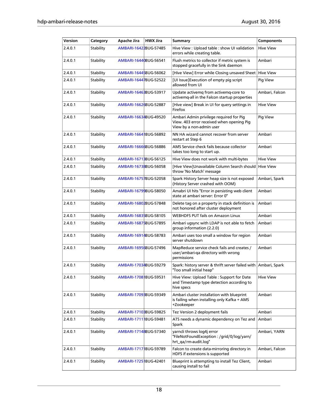| Version | Category  | <b>Apache Jira</b>    | <b>HWX Jira</b> | Summary                                                                                                          | <b>Components</b> |
|---------|-----------|-----------------------|-----------------|------------------------------------------------------------------------------------------------------------------|-------------------|
| 2.4.0.1 | Stability | AMBARI-16422BUG-57485 |                 | Hive View : Upload table : show UI validation<br>errors while creating table.                                    | <b>Hive View</b>  |
| 2.4.0.1 | Stability | AMBARI-16440BUG-56541 |                 | Flush metrics to collector if metric system is<br>stopped gracefully in the Sink daemon                          | Ambari            |
| 2.4.0.1 | Stability | AMBARI-16445BUG-56062 |                 | [Hive View] Error while Closing unsaved Sheet                                                                    | <b>Hive View</b>  |
| 2.4.0.1 | Stability | AMBARI-16447BUG-52522 |                 | [UI Issue]Execution of empty pig script<br>allowed from UI                                                       | Pig View          |
| 2.4.0.1 | Stability | AMBARI-16463BUG-53917 |                 | Update activemg from activemg-core to<br>activemg-all in the Falcon startup properties                           | Ambari, Falcon    |
| 2.4.0.1 | Stability | AMBARI-16626BUG-52887 |                 | [Hive view] Break in UI for query settings in<br>Firefox                                                         | <b>Hive View</b>  |
| 2.4.0.1 | Stability | AMBARI-16634BUG-49520 |                 | Ambari Admin privilege required for Pig<br>View. 403 error received when opening Pig<br>View by a non-admin user | Pig View          |
| 2.4.0.1 | Stability | AMBARI-1664 BUG-56892 |                 | NN HA wizard cannot recover from server<br>restart at Step 6                                                     | Ambari            |
| 2.4.0.1 | Stability | AMBARI-16666BUG-56886 |                 | AMS Service check fails because collector<br>takes too long to start up.                                         | Ambari            |
| 2.4.0.1 | Stability | AMBARI-16713BUG-56125 |                 | Hive View does not work with multi-bytes                                                                         | <b>Hive View</b>  |
| 2.4.0.1 | Stability | AMBARI-16738BUG-56058 |                 | [Hive View]Unavailable Column Search should<br>throw 'No Match' message                                          | <b>Hive View</b>  |
| 2.4.0.1 | Stability | AMBARI-16757BUG-52058 |                 | Spark History Server heap size is not exposed<br>(History Server crashed with OOM)                               | Ambari, Spark     |
| 2.4.0.1 | Stability | AMBARI-16799BUG-58050 |                 | Amabri UI hits "Error in persisting web client<br>state at ambari server: Error 0"                               | Ambari            |
| 2.4.0.1 | Stability | AMBARI-16802BUG-57848 |                 | Delete tag on a property in stack definition is<br>not honored after cluster deployment                          | Ambari            |
| 2.4.0.1 | Stability | AMBARI-16835BUG-58105 |                 | <b>WEBHDFS PUT fails on Amazon Linux</b>                                                                         | Ambari            |
| 2.4.0.1 | Stability | AMBARI-16875BUG-57895 |                 | Ambari ugsync with LDAP is not able to fetch<br>group information (2.2.0)                                        | Ambari            |
| 2.4.0.1 | Stability | AMBARI-16914BUG-58783 |                 | Ambari uses too small a window for region<br>server shutdown                                                     | Ambari            |
| 2.4.0.1 | Stability | AMBARI-16956BUG-57496 |                 | MapReduce service check fails and creates /<br>user/ambari-qa directory with wrong<br>permissions                | Ambari            |
| 2.4.0.1 | Stability | AMBARI-17034BUG-59279 |                 | Spark: history server & thrift server failed with Ambari, Spark<br>"Too small initial heap"                      |                   |
| 2.4.0.1 | Stability | AMBARI-1708 BUG-59531 |                 | Hive View: Upload Table: Support for Date<br>and Timestamp type detection according to<br>hive specs             | <b>Hive View</b>  |
| 2.4.0.1 | Stability | AMBARI-1709BBUG-59349 |                 | Ambari cluster installation with blueprint<br>is failing when installing only Kafka + AMS<br>+Zookeeper          | Ambari            |
| 2.4.0.1 | Stability | AMBARI-17103BUG-59825 |                 | Tez Version 2 deployment fails                                                                                   | Ambari            |
| 2.4.0.1 | Stability | AMBARI-1711 BUG-59481 |                 | ATS needs a dynamic dependency on Tez and<br>Spark                                                               | Ambari            |
| 2.4.0.1 | Stability | AMBARI-17148BUG-57340 |                 | yarncli throws log4j error<br>"FileNotFoundException : /grid/0/log/yarn/<br>hrt_qa/rm-audit.log"                 | Ambari, YARN      |
| 2.4.0.1 | Stability | AMBARI-1717 BUG-59789 |                 | Falcon to create data-mirroring directory in<br>HDFS if extensions is supported                                  | Ambari, Falcon    |
| 2.4.0.1 | Stability | AMBARI-17251BUG-42401 |                 | Blueprint is attempting to install Tez Client,<br>causing install to fail                                        | Ambari            |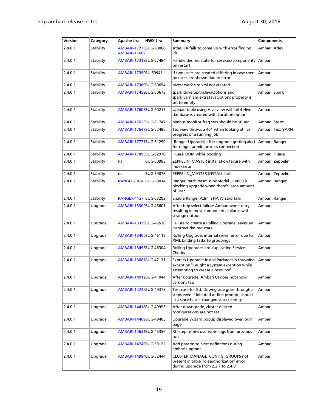| Version | Category  | <b>Apache Jira</b>                           | <b>HWX Jira</b>  | <b>Summary</b>                                                                                                                             | <b>Components</b> |
|---------|-----------|----------------------------------------------|------------------|--------------------------------------------------------------------------------------------------------------------------------------------|-------------------|
| 2.4.0.1 | Stability | AMBARI-1727BBUG-60068<br><b>AMBARI-17662</b> |                  | Atlas HA fails to come up with error finding<br>ids                                                                                        | Ambari, Atlas     |
| 2.4.0.1 | Stability | AMBARI-17313BUG-57484                        |                  | Handle desired state for services/components<br>on restart                                                                                 | Ambari            |
| 2.4.0.1 | Stability | AMBARI-17350BU-59941                         |                  | If two users are created differing in case then<br>no users are shown due to error                                                         | Ambari            |
| 2.4.0.1 | Stability | AMBARI-17369BUG-60694                        |                  | hiveserver2-site.xml not created                                                                                                           | Ambari            |
| 2.4.0.1 | Stability | AMBARI-17459BUG-60673                        |                  | spark.driver.extraJavaOptions and<br>spark.yarn.am.extraJavaOptions property is<br>set to empty                                            | Ambari, Spark     |
| 2.4.0.1 | Stability | AMBARI-17605BUG-60215                        |                  | Upload table using Hive view will fail if Hive<br>database is created with Location option                                                 | Ambari            |
| 2.4.0.1 | Stability | AMBARI-1762BBUG-61747                        |                  | nimbus.monitor.freq.secs should be 10 sec                                                                                                  | Ambari, Storm     |
| 2.4.0.1 | Stability | AMBARI-17647BUG-52486                        |                  | Tez view throws a 401 when looking at live<br>progress of a running job                                                                    | Ambari, Tez, YARN |
| 2.4.0.1 | Stability | AMBARI-1777 BUG-61290                        |                  | [Ranger-Upgrade] after upgrade getting alert<br>for ranger admin process connection                                                        | Ambari, Ranger    |
| 2.4.0.1 | Stability | AMBARI-17893BUG-62970                        |                  | HBase OOM while booting                                                                                                                    | Ambari, HBase     |
| 2.4.0.1 | Stability | na                                           | <b>BUG-60993</b> | ZEPPELIN_MASTER installation failure with<br><b>IndexError</b>                                                                             | Ambari, Zeppelin  |
| 2.4.0.1 | Stability | na                                           | <b>BUG-59078</b> | ZEPPELIN MASTER INSTALL fails                                                                                                              | Ambari, Zeppelin  |
| 2.4.0.1 | Stability | RANGER-1024 BUG-59014                        |                  | Ranger PatchPersmissionModel_J10003 is<br>blocking upgrade when there's large amount<br>of user                                            | Ambari, Ranger    |
| 2.4.0.1 | Stability | RANGER-1127 BUG-63202                        |                  | Enable Ranger Admin HA Wizard fails                                                                                                        | Ambari, Ranger    |
| 2.4.0.1 | Upgrade   | AMBARI-13309BUG-45601                        |                  | After hdp-select failure Ambari won't retry<br>resulting in most components failures with<br>strange output                                | Ambari            |
| 2.4.0.1 | Upgrade   | AMBARI-13339BUG-45538                        |                  | Failure to create a Rolling Upgrade leaves an<br>incorrect desired state                                                                   | Ambari            |
| 2.4.0.1 | Upgrade   | AMBARI-13406BUG-46118                        |                  | Rolling Upgrade: internal server error due to<br>XML binding tasks to groupings                                                            | Ambari            |
| 2.4.0.1 | Upgrade   | AMBARI-13496BUG-46304                        |                  | Rolling Upgrades are duplicating Service<br>Checks                                                                                         | Ambari            |
| 2.4.0.1 | Upgrade   | AMBARI-13687BUG-47131                        |                  | Express Upgrade: Install Packages is throwing<br>exception "Caught a system exception while<br>attempting to create a resource"            | Ambari            |
| 2.4.0.1 | Upgrade   | AMBARI-14012BUG-41044                        |                  | After upgrade, Ambari UI does not show<br>versions tab                                                                                     | Ambari            |
| 2.4.0.1 | Upgrade   | AMBARI-14242BUG-49373                        |                  | Test-case for EU: Downgrade goes through all<br>steps even if initiated at first prompt, should<br>exit since hasn't changed stack/configs | Ambari            |
| 2.4.0.1 | Upgrade   | AMBARI-14418BUG-49993                        |                  | After downgrade, cluster desired<br>configurations are not set                                                                             | Ambari            |
| 2.4.0.1 | Upgrade   | AMBARI-14469BUG-49403                        |                  | Upgrade Wizard popup displayed over login<br>page                                                                                          | Ambari            |
| 2.4.0.1 | Upgrade   | AMBARI-1463 BUG-45356                        |                  | RU step retries overwrite logs from previous<br>run                                                                                        | Ambari            |
| 2.4.0.1 | Upgrade   | AMBARI-14740BUG-50122                        |                  | Add params to alert definitions during<br>ambari upgrade                                                                                   | Ambari            |
| 2.4.0.1 | Upgrade   | AMBARI-14994BUG-52444                        |                  | CLUSTER.MANAGE_CONFIG_GROUPS not<br>present in table 'roleauthorization' error<br>during upgrade from 2.2.1 to 2.4.0                       | Ambari            |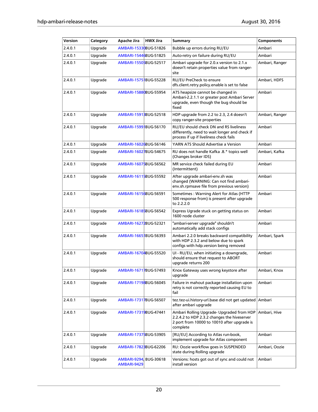| Version | Category | <b>Apache Jira</b>                   | <b>HWX Jira</b> | Summary                                                                                                                                             | Components     |
|---------|----------|--------------------------------------|-----------------|-----------------------------------------------------------------------------------------------------------------------------------------------------|----------------|
| 2.4.0.1 | Upgrade  | AMBARI-15330BUG-51826                |                 | Bubble up errors during RU/EU                                                                                                                       | Ambari         |
| 2.4.0.1 | Upgrade  | AMBARI-15446BUG-51825                |                 | Auto-retry on failure during RU/EU                                                                                                                  | Ambari         |
| 2.4.0.1 | Upgrade  | AMBARI-15505BUG-52517                |                 | Ambari upgrade for 2.0.x version to 2.1.x<br>doesn't retain properties value from ranger-<br>site                                                   | Ambari, Ranger |
| 2.4.0.1 | Upgrade  | AMBARI-1575 BUG-55228                |                 | RU/EU PreCheck to ensure<br>dfs.client.retry.policy.enable is set to false                                                                          | Ambari, HDFS   |
| 2.4.0.1 | Upgrade  | AMBARI-15880BUG-55954                |                 | ATS heapsize cannot be changed in<br>Ambari-2.2.1.1 or greater post Ambari Server<br>upgrade, even though the bug should be<br>fixed                | Ambari         |
| 2.4.0.1 | Upgrade  | AMBARI-15918BUG-52518                |                 | HDP upgrade from 2.2 to 2.3, 2.4 doesn't<br>copy ranger-site properties                                                                             | Ambari, Ranger |
| 2.4.0.1 | Upgrade  | AMBARI-1599 BUG-56170                |                 | RU/EU should check DN and RS liveliness<br>differently, need to wait longer and check if<br>process if up if liveliness check fails                 | Ambari         |
| 2.4.0.1 | Upgrade  | AMBARI-16026BUG-56146                |                 | YARN ATS Should Advertise a Version                                                                                                                 | Ambari         |
| 2.4.0.1 | Upgrade  | AMBARI-16027BUG-54675                |                 | RU does not handle Kafka .8.* topics well<br>(Changes broker IDS)                                                                                   | Ambari, Kafka  |
| 2.4.0.1 | Upgrade  | AMBARI-16075BUG-56562                |                 | MR service check failed during EU<br>(Intermittent)                                                                                                 | Ambari         |
| 2.4.0.1 | Upgrade  | AMBARI-16115BUG-55592                |                 | After upgrade ambari-env.sh was<br>changed (WARNING: Can not find ambari-<br>env.sh.rpmsave file from previous version)                             | Ambari         |
| 2.4.0.1 | Upgrade  | AMBARI-16156BUG-56591                |                 | Sometimes: Warning Alert for Atlas (HTTP<br>500 response from) is present after upgrade<br>to 2.2.2.0                                               | Ambari         |
| 2.4.0.1 | Upgrade  | AMBARI-16185BUG-56542                |                 | Express Ugrade stuck on getting status on<br>1600 node cluster                                                                                      | Ambari         |
| 2.4.0.1 | Upgrade  | AMBARI-16272BUG-52321                |                 | "ambari-server upgrade" shouldn't<br>automatically add stack configs                                                                                | Ambari         |
| 2.4.0.1 | Upgrade  | AMBARI-1665 BUG-56393                |                 | Ambari 2.2.0 breaks backward compatibility<br>with HDP 2.3.2 and below due to spark<br>configs with hdp.version being removed                       | Ambari, Spark  |
| 2.4.0.1 | Upgrade  | AMBARI-16704BUG-55520                |                 | UI - RU/EU, when initiating a downgrade,<br>should ensure that request to ABORT<br>upgrade returns 200                                              | Ambari         |
| 2.4.0.1 | Upgrade  | AMBARI-16717BUG-57493                |                 | Knox Gateway uses wrong keystore after<br>upgrade                                                                                                   | Ambari, Knox   |
| 2.4.0.1 | Upgrade  | AMBARI-17198BUG-56045                |                 | Failure in mahout package installation upon<br>retry is not correctly reported causing EU to<br>fail                                                | Ambari         |
| 2.4.0.1 | Upgrade  | AMBARI-17317BUG-56507                |                 | tez.tez-ui.history-url.base did not get updated<br>after ambari upgrade                                                                             | Ambari         |
| 2.4.0.1 | Upgrade  | AMBARI-17319BUG-47441                |                 | Ambari Rolling Upgrade- Upgraded from HDP<br>2.2.4.2 to HDP 2.3.2 changes the hiveserver<br>2 port from 10000 to 10010 after upgrade is<br>complete | Ambari, Hive   |
| 2.4.0.1 | Upgrade  | AMBARI-17375BUG-53905                |                 | [RU/EU] According to Atlas run-book,<br>implement upgrade for Atlas component                                                                       | Ambari         |
| 2.4.0.1 | Upgrade  | AMBARI-1782BBUG-62206                |                 | RU: Oozie workflow goes in SUSPENDED<br>state during Rolling upgrade                                                                                | Ambari, Oozie  |
| 2.4.0.1 | Upgrade  | AMBARI-9294 BUG-30618<br>AMBARI-9429 |                 | Versions: hosts got out of sync and could not<br>install version                                                                                    | Ambari         |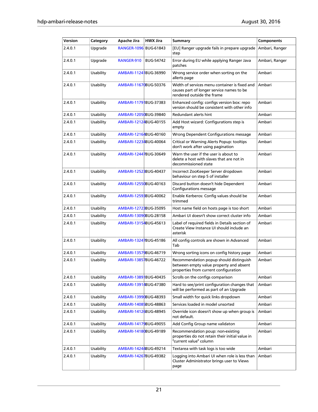| Version | Category         | <b>Apache Jira</b>    | <b>HWX Jira</b>  | Summary                                                                                                                     | <b>Components</b> |
|---------|------------------|-----------------------|------------------|-----------------------------------------------------------------------------------------------------------------------------|-------------------|
| 2.4.0.1 | Upgrade          | RANGER-1096 BUG-61843 |                  | [EU] Ranger upgrade fails in prepare upgrade<br>step                                                                        | Ambari, Ranger    |
| 2.4.0.1 | Upgrade          | RANGER-910            | <b>BUG-54742</b> | Error during EU while applying Ranger Java<br>patches                                                                       | Ambari, Ranger    |
| 2.4.0.1 | Usability        | AMBARI-11241BUG-36990 |                  | Wrong service order when sorting on the<br>allerts page                                                                     | Ambari            |
| 2.4.0.1 | Usability        | AMBARI-11670BUG-50376 |                  | Width of services menu container is fixed and<br>causes part of longer service names to be<br>rendered outside the frame    | Ambari            |
| 2.4.0.1 | Usability        | AMBARI-11791BUG-37383 |                  | Enhanced config: configs version box: repo<br>version should be consistent with other info                                  | Ambari            |
| 2.4.0.1 | Usability        | AMBARI-12050BUG-39840 |                  | Redundant alerts hint                                                                                                       | Ambari            |
| 2.4.0.1 | Usability        | AMBARI-12124BUG-40155 |                  | Add Host wizard: Configurations step is<br>empty                                                                            | Ambari            |
| 2.4.0.1 | Usability        | AMBARI-12164BUG-40160 |                  | Wrong Dependent Configurations message                                                                                      | Ambari            |
| 2.4.0.1 | Usability        | AMBARI-12234BUG-40064 |                  | Critical or Warning Alerts Popup: tooltips<br>don't work after using pagination                                             | Ambari            |
| 2.4.0.1 | Usability        | AMBARI-12447BUG-30649 |                  | Warn the user if the user is about to<br>delete a host with slaves that are not in<br>decommissioned state                  | Ambari            |
| 2.4.0.1 | Usability        | AMBARI-12523BUG-40437 |                  | Incorrect ZooKeeper Server dropdown<br>behaviour on step 5 of installer                                                     | Ambari            |
| 2.4.0.1 | Usability        | AMBARI-12550BUG-40163 |                  | Discard button doesn't hide Dependent<br>Configurations message                                                             | Ambari            |
| 2.4.0.1 | Usability        | AMBARI-1259BBUG-40062 |                  | Enable Kerberos: Config values should be<br>trimmed                                                                         | Ambari            |
| 2.4.0.1 | Usability        | AMBARI-1272BBUG-35095 |                  | Host name field on hosts page is too short                                                                                  | Ambari            |
| 2.4.0.1 | Usability        | AMBARI-13090BUG-28158 |                  | Ambari UI doesn't show correct cluster info                                                                                 | Ambari            |
| 2.4.0.1 | Usability        | AMBARI-13154BUG-45613 |                  | Label of required fields in Details section of<br>Create View Instance UI should include an<br>asterisk                     | Ambari            |
| 2.4.0.1 | Usability        | AMBARI-13247BUG-45186 |                  | All config controls are shown in Advanced<br>Tab                                                                            | Ambari            |
| 2.4.0.1 | Usability        | AMBARI-13579BUG-46719 |                  | Wrong sorting icons on config history page                                                                                  | Ambari            |
| 2.4.0.1 | Usability        | AMBARI-13857BUG-46722 |                  | Recommendation popup should distinguish<br>between empty value property and absent<br>properties from current configuration | Ambari            |
| 2.4.0.1 | Usability        | AMBARI-1389 BUG-40435 |                  | Scrolls on the configs comparison                                                                                           | Ambari            |
| 2.4.0.1 | Usability        | AMBARI-13914BUG-47380 |                  | Hard to see/print configuration changes that<br>will be performed as part of an Upgrade                                     | Ambari            |
| 2.4.0.1 | Usability        | AMBARI-13990BUG-48393 |                  | Small width for quick links dropdown                                                                                        | Ambari            |
| 2.4.0.1 | <b>Usability</b> | AMBARI-14085BUG-48863 |                  | Services loaded in model unsorted                                                                                           | Ambari            |
| 2.4.0.1 | Usability        | AMBARI-14126BUG-48945 |                  | Override icon doesn't show up when group is<br>not default.                                                                 | Ambari            |
| 2.4.0.1 | Usability        | AMBARI-14179BUG-49055 |                  | Add Config Group name validaton                                                                                             | Ambari            |
| 2.4.0.1 | Usability        | AMBARI-14180BUG-49189 |                  | Recommendation poup: non-existing<br>properties do not retain their initial value in<br>"current value" column              | Ambari            |
| 2.4.0.1 | Usability        | AMBARI-14244BUG-49214 |                  | Textarea with task logs is too wide                                                                                         | Ambari            |
| 2.4.0.1 | Usability        | AMBARI-14267BUG-49382 |                  | Logging into Ambari UI when role is less than<br>Cluster Administrator brings user to Views<br>page                         | Ambari            |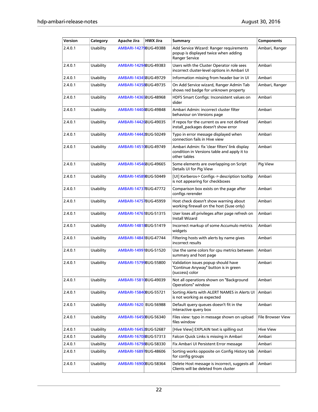| Version | Category  | <b>Apache Jira</b>    | <b>HWX Jira</b> | <b>Summary</b>                                                                                                | <b>Components</b>        |
|---------|-----------|-----------------------|-----------------|---------------------------------------------------------------------------------------------------------------|--------------------------|
| 2.4.0.1 | Usability | AMBARI-14279BUG-49388 |                 | Add Service Wizard: Ranger requirements<br>popup is displayed twice when adding<br>Ranger Service             | Ambari, Ranger           |
| 2.4.0.1 | Usability | AMBARI-14294BUG-49383 |                 | Users with the Cluster Operator role sees<br>incorrect cluster-level options in Ambari UI                     | Ambari                   |
| 2.4.0.1 | Usability | AMBARI-14345BUG-49729 |                 | Information missing from header bar in UI                                                                     | Ambari                   |
| 2.4.0.1 | Usability | AMBARI-14358BUG-49735 |                 | On Add Service wizard, Ranger Admin Tab<br>shows red badge for unknown property                               | Ambari, Ranger           |
| 2.4.0.1 | Usability | AMBARI-14365BUG-48968 |                 | HDFS Smart Configs: Inconsistent values on<br>slider                                                          | Ambari                   |
| 2.4.0.1 | Usability | AMBARI-14404BUG-49848 |                 | Ambari Admin: incorrect cluster filter<br>behaviour on Versions page                                          | Ambari                   |
| 2.4.0.1 | Usability | AMBARI-14426BUG-49035 |                 | If repos for the current os are not defined<br>install_packages doesn't show error                            | Ambari                   |
| 2.4.0.1 | Usability | AMBARI-14442BUG-50249 |                 | Typo in error message displayed when<br>connection fails in Hive view                                         | Ambari                   |
| 2.4.0.1 | Usability | AMBARI-14510BUG-49749 |                 | Ambari Admin: fix 'clear filters' link display<br>condition in Versions table and apply it to<br>other tables | Ambari                   |
| 2.4.0.1 | Usability | AMBARI-14546BUG-49665 |                 | Some elements are overlapping on Script<br>Details UI for Pig View                                            | Pig View                 |
| 2.4.0.1 | Usability | AMBARI-14589BUG-50449 |                 | [UI] Kerberos-> Configs -> description tooltip<br>is not appearing for checkboxes                             | Ambari                   |
| 2.4.0.1 | Usability | AMBARI-14737BUG-47772 |                 | Comparison box exists on the page after<br>configs rerender                                                   | Ambari                   |
| 2.4.0.1 | Usability | AMBARI-14757BUG-45959 |                 | Host check doesn't show warning about<br>working firewall on the host (Suse only)                             | Ambari                   |
| 2.4.0.1 | Usability | AMBARI-1476 BUG-51315 |                 | User loses all privileges after page refresh on<br><b>Install Wizard</b>                                      | Ambari                   |
| 2.4.0.1 | Usability | AMBARI-14818BUG-51419 |                 | Incorrect markup of some Accumulo metrics<br>widgets                                                          | Ambari                   |
| 2.4.0.1 | Usability | AMBARI-1484 BUG-47744 |                 | Filtering hosts with alerts by name gives<br>incorrect results                                                | Ambari                   |
| 2.4.0.1 | Usability | AMBARI-14991BUG-51520 |                 | Use the same colors for cpu metrics between<br>summary and host page                                          | Ambari                   |
| 2.4.0.1 | Usability | AMBARI-15799BUG-55800 |                 | Validation issues popup should have<br>"Continue Anyway" button is in green<br>(success) color                | Ambari                   |
| 2.4.0.1 | Usability | AMBARI-15810BUG-49039 |                 | Not all operations shown on "Background<br>Operations" window                                                 | Ambari                   |
| 2.4.0.1 | Usability | AMBARI-15840BUG-55721 |                 | Sorting Alerts with ALERT NAMES in Alerts UI<br>is not working as expected                                    | Ambari                   |
| 2.4.0.1 | Usability | AMBARI-1620 BUG-56988 |                 | Default query queues doesn't fit in the<br>Interactive query box                                              | Ambari                   |
| 2.4.0.1 | Usability | AMBARI-16450BUG-56340 |                 | Files view: typo in message shown on upload<br>files window                                                   | <b>File Browser View</b> |
| 2.4.0.1 | Usability | AMBARI-16452BUG-52687 |                 | [Hive View] EXPLAIN text is spilling out                                                                      | <b>Hive View</b>         |
| 2.4.0.1 | Usability | AMBARI-16708BUG-57313 |                 | Falcon Quick Links is missing in Ambari                                                                       | Ambari                   |
| 2.4.0.1 | Usability | AMBARI-16798BUG-58330 |                 | Fix Ambari UI Persistent Error message                                                                        | Ambari                   |
| 2.4.0.1 | Usability | AMBARI-16897BUG-48606 |                 | Sorting works opposite on Config History tab<br>for config groups                                             | Ambari                   |
| 2.4.0.1 | Usability | AMBARI-16900BUG-58364 |                 | Delete Host message is incorrect, suggests all<br>Clients will be deleted from cluster                        | Ambari                   |